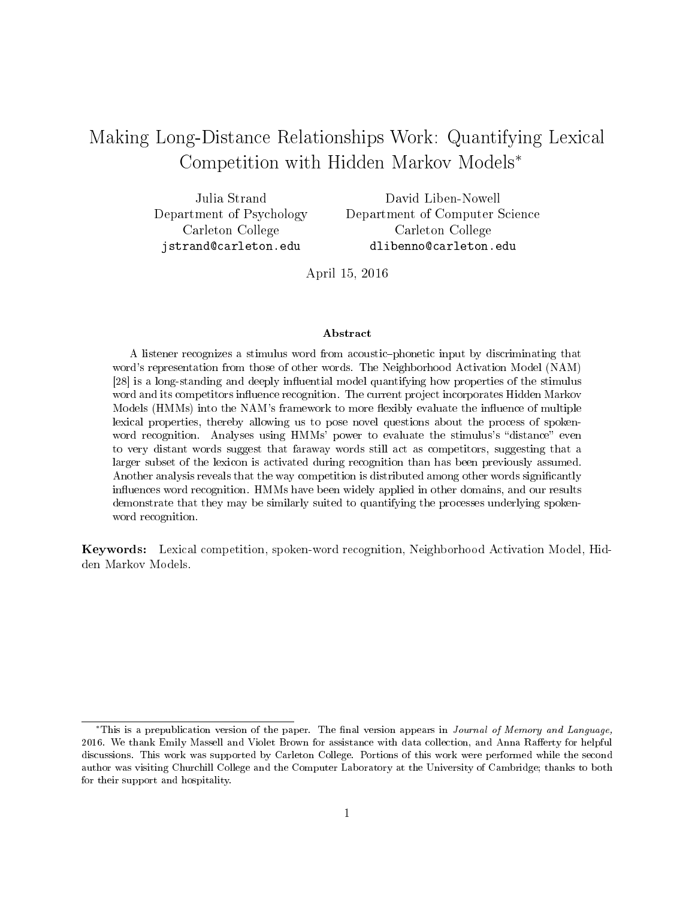# Making Long-Distance Relationships Work: Quantifying Lexical Competition with Hidden Markov Models<sup>∗</sup>

Julia Strand Department of Psychology Carleton College jstrand@carleton.edu

David Liben-Nowell Department of Computer Science Carleton College dlibenno@carleton.edu

April 15, 2016

#### Abstract

A listener recognizes a stimulus word from acoustic-phonetic input by discriminating that word's representation from those of other words. The Neighborhood Activation Model (NAM) [28] is a long-standing and deeply influential model quantifying how properties of the stimulus word and its competitors influence recognition. The current project incorporates Hidden Markov Models (HMMs) into the NAM's framework to more flexibly evaluate the influence of multiple lexical properties, thereby allowing us to pose novel questions about the process of spokenword recognition. Analyses using HMMs' power to evaluate the stimulus's "distance" even to very distant words suggest that faraway words still act as competitors, suggesting that a larger subset of the lexicon is activated during recognition than has been previously assumed. Another analysis reveals that the way competition is distributed among other words significantly influences word recognition. HMMs have been widely applied in other domains, and our results demonstrate that they may be similarly suited to quantifying the processes underlying spokenword recognition.

Keywords: Lexical competition, spoken-word recognition, Neighborhood Activation Model, Hidden Markov Models.

<sup>\*</sup>This is a prepublication version of the paper. The final version appears in Journal of Memory and Language, 2016. We thank Emily Massell and Violet Brown for assistance with data collection, and Anna Rafferty for helpful discussions. This work was supported by Carleton College. Portions of this work were performed while the second author was visiting Churchill College and the Computer Laboratory at the University of Cambridge; thanks to both for their support and hospitality.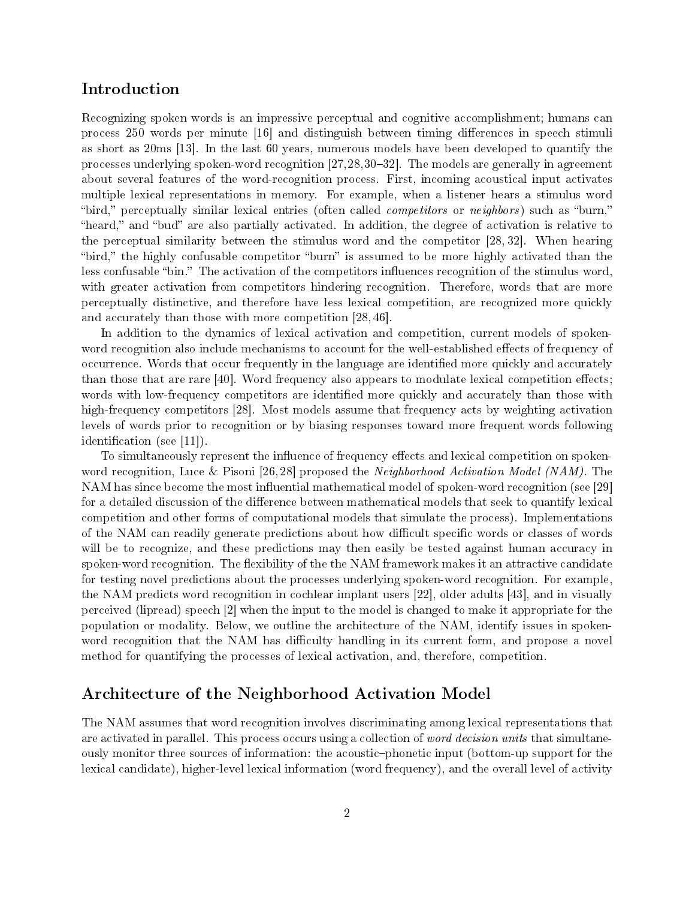# Introduction

Recognizing spoken words is an impressive perceptual and cognitive accomplishment; humans can process 250 words per minute [16] and distinguish between timing differences in speech stimuli as short as 20ms [13]. In the last 60 years, numerous models have been developed to quantify the processes underlying spoken-word recognition  $[27,28,30–32]$ . The models are generally in agreement about several features of the word-recognition process. First, incoming acoustical input activates multiple lexical representations in memory. For example, when a listener hears a stimulus word "bird," perceptually similar lexical entries (often called *competitors* or *neighbors*) such as "burn," "heard," and "bud" are also partially activated. In addition, the degree of activation is relative to the perceptual similarity between the stimulus word and the competitor [28, 32]. When hearing "bird," the highly confusable competitor "burn" is assumed to be more highly activated than the less confusable "bin." The activation of the competitors influences recognition of the stimulus word. with greater activation from competitors hindering recognition. Therefore, words that are more perceptually distinctive, and therefore have less lexical competition, are recognized more quickly and accurately than those with more competition [28, 46].

In addition to the dynamics of lexical activation and competition, current models of spokenword recognition also include mechanisms to account for the well-established effects of frequency of occurrence. Words that occur frequently in the language are identified more quickly and accurately than those that are rare  $[40]$ . Word frequency also appears to modulate lexical competition effects; words with low-frequency competitors are identified more quickly and accurately than those with high-frequency competitors [28]. Most models assume that frequency acts by weighting activation levels of words prior to recognition or by biasing responses toward more frequent words following identification (see  $[11]$ ).

To simultaneously represent the influence of frequency effects and lexical competition on spokenword recognition, Luce & Pisoni [26,28] proposed the *Neighborhood Activation Model (NAM)*. The NAM has since become the most influential mathematical model of spoken-word recognition (see [29] for a detailed discussion of the difference between mathematical models that seek to quantify lexical competition and other forms of computational models that simulate the process). Implementations of the NAM can readily generate predictions about how difficult specific words or classes of words will be to recognize, and these predictions may then easily be tested against human accuracy in spoken-word recognition. The flexibility of the the NAM framework makes it an attractive candidate for testing novel predictions about the processes underlying spoken-word recognition. For example, the NAM predicts word recognition in cochlear implant users [22], older adults [43], and in visually perceived (lipread) speech [2] when the input to the model is changed to make it appropriate for the population or modality. Below, we outline the architecture of the NAM, identify issues in spokenword recognition that the NAM has difficulty handling in its current form, and propose a novel method for quantifying the processes of lexical activation, and, therefore, competition.

# Architecture of the Neighborhood Activation Model

The NAM assumes that word recognition involves discriminating among lexical representations that are activated in parallel. This process occurs using a collection of *word decision units* that simultaneously monitor three sources of information: the acoustic-phonetic input (bottom-up support for the lexical candidate), higher-level lexical information (word frequency), and the overall level of activity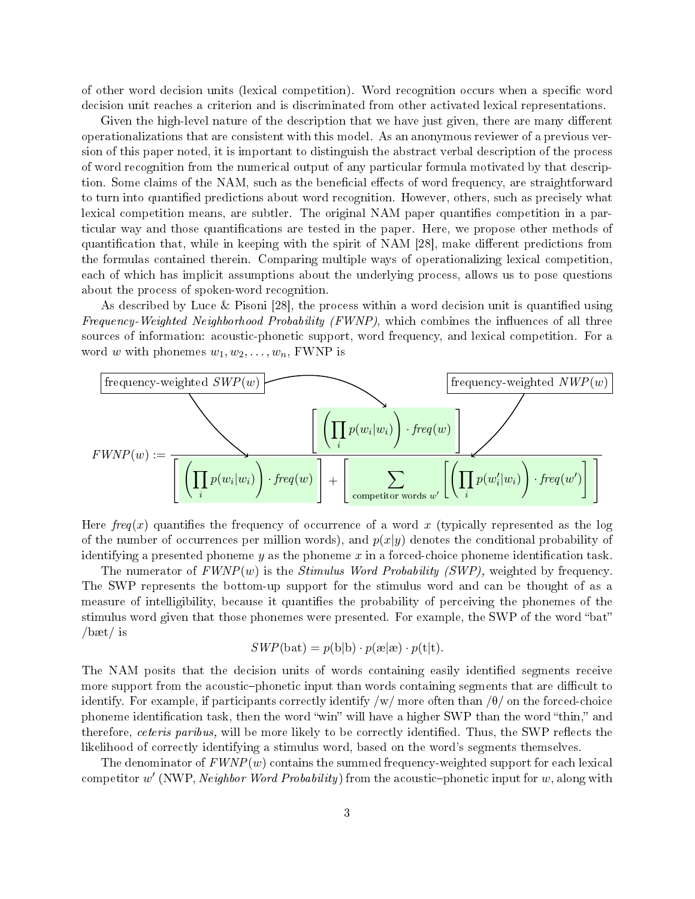of other word decision units (lexical competition). Word recognition occurs when a specic word decision unit reaches a criterion and is discriminated from other activated lexical representations.

Given the high-level nature of the description that we have just given, there are many different operationalizations that are consistent with this model. As an anonymous reviewer of a previous version of this paper noted, it is important to distinguish the abstract verbal description of the process of word recognition from the numerical output of any particular formula motivated by that description. Some claims of the NAM, such as the beneficial effects of word frequency, are straightforward to turn into quantified predictions about word recognition. However, others, such as precisely what lexical competition means, are subtler. The original NAM paper quantifies competition in a particular way and those quantifications are tested in the paper. Here, we propose other methods of quantification that, while in keeping with the spirit of NAM [28], make different predictions from the formulas contained therein. Comparing multiple ways of operationalizing lexical competition, each of which has implicit assumptions about the underlying process, allows us to pose questions about the process of spoken-word recognition.

As described by Luce & Pisoni [28], the process within a word decision unit is quantified using Frequency-Weighted Neighborhood Probability (FWNP), which combines the influences of all three sources of information: acoustic-phonetic support, word frequency, and lexical competition. For a word w with phonemes  $w_1, w_2, \ldots, w_n$ , FWNP is



Here  $freq(x)$  quantifies the frequency of occurrence of a word x (typically represented as the log of the number of occurrences per million words), and  $p(x|y)$  denotes the conditional probability of identifying a presented phoneme  $y$  as the phoneme  $x$  in a forced-choice phoneme identification task.

The numerator of  $FWNP(w)$  is the *Stimulus Word Probability (SWP)*, weighted by frequency. The SWP represents the bottom-up support for the stimulus word and can be thought of as a measure of intelligibility, because it quantifies the probability of perceiving the phonemes of the stimulus word given that those phonemes were presented. For example, the SWP of the word "bat" /bæt/ is

$$
SWP(\text{bat}) = p(\text{b}|\text{b}) \cdot p(\text{a}|\text{a}) \cdot p(\text{t}|\text{t}).
$$

The NAM posits that the decision units of words containing easily identified segments receive more support from the acoustic-phonetic input than words containing segments that are difficult to identify. For example, if participants correctly identify  $\sqrt{\frac{w}{m}}$  or the forced-choice phoneme identification task, then the word "win" will have a higher SWP than the word "thin," and therefore, *ceteris paribus*, will be more likely to be correctly identified. Thus, the SWP reflects the likelihood of correctly identifying a stimulus word, based on the word's segments themselves.

The denominator of  $FWNP(w)$  contains the summed frequency-weighted support for each lexical competitor  $w'$  (NWP, *Neighbor Word Probability*) from the acoustic-phonetic input for  $w$ , along with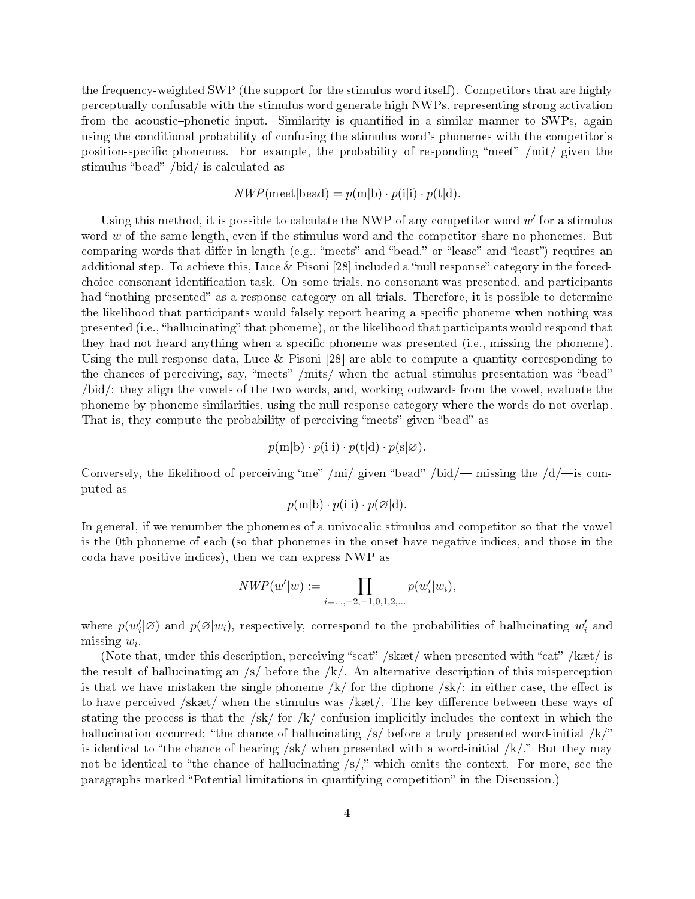the frequency-weighted SWP (the support for the stimulus word itself). Competitors that are highly perceptually confusable with the stimulus word generate high NWPs, representing strong activation from the acoustic-phonetic input. Similarity is quantified in a similar manner to SWPs, again using the conditional probability of confusing the stimulus word's phonemes with the competitor's position-specific phonemes. For example, the probability of responding "meet"  $/mit/$  given the stimulus "bead" /bid/ is calculated as

$$
NWP(\text{meet}|\text{bead}) = p(\text{m}|\text{b}) \cdot p(\text{i}|\text{i}) \cdot p(\text{t}|\text{d}).
$$

Using this method, it is possible to calculate the NWP of any competitor word  $w'$  for a stimulus word  $w$  of the same length, even if the stimulus word and the competitor share no phonemes. But comparing words that differ in length (e.g., "meets" and "bead," or "lease" and "least") requires an additional step. To achieve this, Luce & Pisoni [28] included a "null response" category in the forcedchoice consonant identification task. On some trials, no consonant was presented, and participants had "nothing presented" as a response category on all trials. Therefore, it is possible to determine the likelihood that participants would falsely report hearing a specific phoneme when nothing was presented (i.e., "hallucinating" that phoneme), or the likelihood that participants would respond that they had not heard anything when a specific phoneme was presented (i.e., missing the phoneme). Using the null-response data, Luce & Pisoni [28] are able to compute a quantity corresponding to the chances of perceiving, say, "meets" /mits/ when the actual stimulus presentation was "bead" /bid/: they align the vowels of the two words, and, working outwards from the vowel, evaluate the phoneme-by-phoneme similarities, using the null-response category where the words do not overlap. That is, they compute the probability of perceiving "meets" given "bead" as

$$
p(m|b) \cdot p(i|i) \cdot p(t|d) \cdot p(s|\varnothing).
$$

Conversely, the likelihood of perceiving "me" /mi/ given "bead" /bid/ missing the  $/d$ -is computed as

$$
p(m|b) \cdot p(i|i) \cdot p(\emptyset|d).
$$

In general, if we renumber the phonemes of a univocalic stimulus and competitor so that the vowel is the 0th phoneme of each (so that phonemes in the onset have negative indices, and those in the coda have positive indices), then we can express NWP as

$$
NWP(w'|w) := \prod_{i = \ldots, -2, -1, 0, 1, 2, \ldots} p(w'_i|w_i),
$$

where  $p(w_i'|\varnothing)$  and  $p(\varnothing|w_i)$ , respectively, correspond to the probabilities of hallucinating  $w_i'$  and missing  $w_i$ .

(Note that, under this description, perceiving "scat" /skæt/ when presented with "cat" /kæt/ is the result of hallucinating an  $\frac{s}{\text{se}}$  before the  $\frac{k}{\text{se}}$ . An alternative description of this misperception is that we have mistaken the single phoneme  $/k/$  for the diphone  $/sk/$ : in either case, the effect is to have perceived /skæt/ when the stimulus was /kæt/. The key difference between these ways of stating the process is that the /sk/-for-/k/ confusion implicitly includes the context in which the hallucination occurred: "the chance of hallucinating  $\frac{s}{s}$  before a truly presented word-initial  $\frac{k}{s}$ is identical to "the chance of hearing /sk/ when presented with a word-initial /k/." But they may not be identical to "the chance of hallucinating  $/s/$ ," which omits the context. For more, see the paragraphs marked "Potential limitations in quantifying competition" in the Discussion.)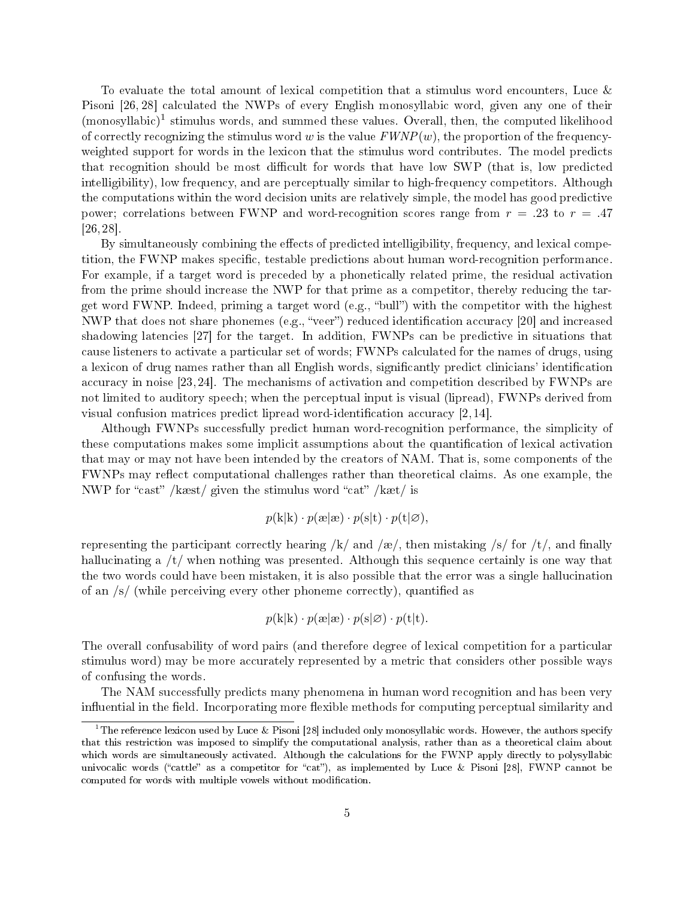To evaluate the total amount of lexical competition that a stimulus word encounters, Luce & Pisoni [26, 28] calculated the NWPs of every English monosyllabic word, given any one of their (monosyllabic)<sup>1</sup> stimulus words, and summed these values. Overall, then, the computed likelihood of correctly recognizing the stimulus word w is the value  $FWNP(w)$ , the proportion of the frequencyweighted support for words in the lexicon that the stimulus word contributes. The model predicts that recognition should be most difficult for words that have low SWP (that is, low predicted intelligibility), low frequency, and are perceptually similar to high-frequency competitors. Although the computations within the word decision units are relatively simple, the model has good predictive power; correlations between FWNP and word-recognition scores range from  $r = .23$  to  $r = .47$ [26, 28].

By simultaneously combining the effects of predicted intelligibility, frequency, and lexical competition, the FWNP makes specific, testable predictions about human word-recognition performance. For example, if a target word is preceded by a phonetically related prime, the residual activation from the prime should increase the NWP for that prime as a competitor, thereby reducing the target word FWNP. Indeed, priming a target word (e.g., "bull") with the competitor with the highest NWP that does not share phonemes (e.g., "veer") reduced identification accuracy [20] and increased shadowing latencies [27] for the target. In addition, FWNPs can be predictive in situations that cause listeners to activate a particular set of words; FWNPs calculated for the names of drugs, using a lexicon of drug names rather than all English words, significantly predict clinicians' identification accuracy in noise [23,24]. The mechanisms of activation and competition described by FWNPs are not limited to auditory speech; when the perceptual input is visual (lipread), FWNPs derived from visual confusion matrices predict lipread word-identification accuracy  $[2, 14]$ .

Although FWNPs successfully predict human word-recognition performance, the simplicity of these computations makes some implicit assumptions about the quantification of lexical activation that may or may not have been intended by the creators of NAM. That is, some components of the FWNPs may reflect computational challenges rather than theoretical claims. As one example, the NWP for "cast" /kæst/ given the stimulus word "cat" /kæt/ is

$$
p(\mathbf{k}|\mathbf{k}) \cdot p(\mathbf{\mathbf{e}}|\mathbf{\mathbf{e}}) \cdot p(\mathbf{s}|\mathbf{t}) \cdot p(\mathbf{t}|\varnothing),
$$

representing the participant correctly hearing  $/k/$  and  $\alpha$ , then mistaking  $/s/$  for  $/t/$ , and finally hallucinating a /t/ when nothing was presented. Although this sequence certainly is one way that the two words could have been mistaken, it is also possible that the error was a single hallucination of an  $\sqrt{s}$  (while perceiving every other phoneme correctly), quantified as

$$
p(\mathbf{k}|\mathbf{k}) \cdot p(\mathbf{\mathbf{\hat{e}}}|\mathbf{\mathbf{\hat{e}}}) \cdot p(\mathbf{s}|\varnothing) \cdot p(\mathbf{t}|\mathbf{t}).
$$

The overall confusability of word pairs (and therefore degree of lexical competition for a particular stimulus word) may be more accurately represented by a metric that considers other possible ways of confusing the words.

The NAM successfully predicts many phenomena in human word recognition and has been very influential in the field. Incorporating more flexible methods for computing perceptual similarity and

 $1$ The reference lexicon used by Luce & Pisoni [28] included only monosyllabic words. However, the authors specify that this restriction was imposed to simplify the computational analysis, rather than as a theoretical claim about which words are simultaneously activated. Although the calculations for the FWNP apply directly to polysyllabic univocalic words ("cattle" as a competitor for "cat"), as implemented by Luce & Pisoni [28], FWNP cannot be computed for words with multiple vowels without modification.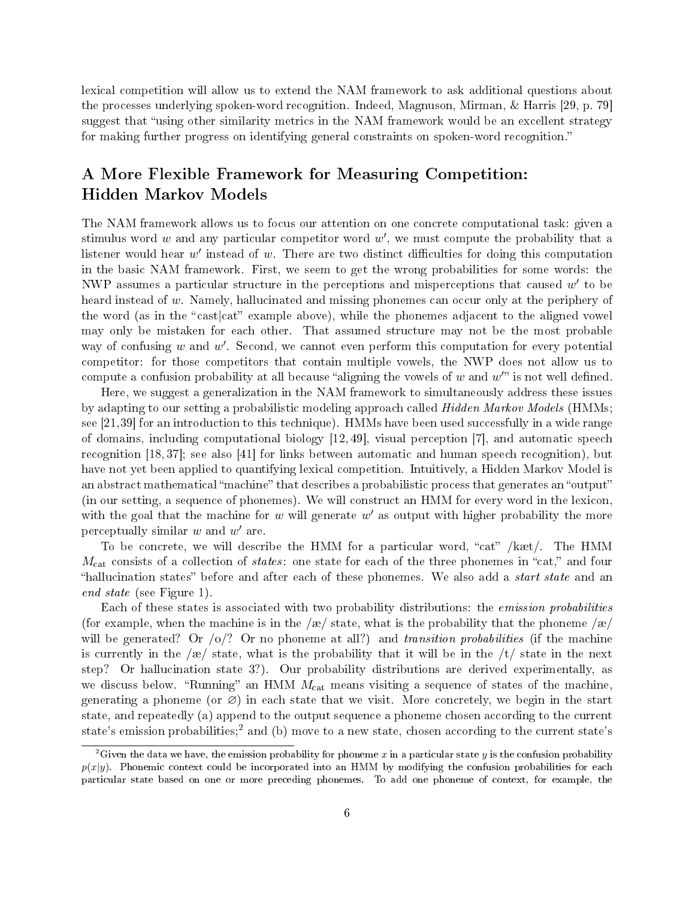lexical competition will allow us to extend the NAM framework to ask additional questions about the processes underlying spoken-word recognition. Indeed, Magnuson, Mirman, & Harris [29, p. 79] suggest that "using other similarity metrics in the NAM framework would be an excellent strategy for making further progress on identifying general constraints on spoken-word recognition.

# A More Flexible Framework for Measuring Competition: Hidden Markov Models

The NAM framework allows us to focus our attention on one concrete computational task: given a stimulus word  $w$  and any particular competitor word  $w'$ , we must compute the probability that a listener would hear  $w'$  instead of  $w$ . There are two distinct difficulties for doing this computation in the basic NAM framework. First, we seem to get the wrong probabilities for some words: the NWP assumes a particular structure in the perceptions and misperceptions that caused  $w'$  to be heard instead of w. Namely, hallucinated and missing phonemes can occur only at the periphery of the word (as in the "cast  $|cat"$ " example above), while the phonemes adjacent to the aligned vowel may only be mistaken for each other. That assumed structure may not be the most probable way of confusing  $w$  and  $w'$ . Second, we cannot even perform this computation for every potential competitor: for those competitors that contain multiple vowels, the NWP does not allow us to compute a confusion probability at all because "aligning the vowels of  $w$  and  $w''$  is not well defined.

Here, we suggest a generalization in the NAM framework to simultaneously address these issues by adapting to our setting a probabilistic modeling approach called Hidden Markov Models (HMMs; see [21,39] for an introduction to this technique). HMMs have been used successfully in a wide range of domains, including computational biology [12, 49], visual perception [7], and automatic speech recognition [18, 37]; see also [41] for links between automatic and human speech recognition), but have not yet been applied to quantifying lexical competition. Intuitively, a Hidden Markov Model is an abstract mathematical "machine" that describes a probabilistic process that generates an "output" (in our setting, a sequence of phonemes). We will construct an HMM for every word in the lexicon, with the goal that the machine for w will generate  $w'$  as output with higher probability the more perceptually similar  $w$  and  $w'$  are.

To be concrete, we will describe the HMM for a particular word, " $cat"$  /kæt/. The HMM  $M_{\text{cat}}$  consists of a collection of *states*: one state for each of the three phonemes in "cat," and four "hallucination states" before and after each of these phonemes. We also add a *start state* and an end state (see Figure 1).

Each of these states is associated with two probability distributions: the emission probabilities (for example, when the machine is in the /æ/ state, what is the probability that the phoneme /æ/ will be generated? Or  $\frac{1}{2}$  Or no phoneme at all?) and transition probabilities (if the machine is currently in the  $\alpha$  state, what is the probability that it will be in the  $\alpha$  state in the next step? Or hallucination state 3?). Our probability distributions are derived experimentally, as we discuss below. "Running" an HMM  $M_{\text{cat}}$  means visiting a sequence of states of the machine, generating a phoneme (or  $\emptyset$ ) in each state that we visit. More concretely, we begin in the start state, and repeatedly (a) append to the output sequence a phoneme chosen according to the current state's emission probabilities;<sup>2</sup> and (b) move to a new state, chosen according to the current state's

<sup>&</sup>lt;sup>2</sup>Given the data we have, the emission probability for phoneme x in a particular state y is the confusion probability  $p(x|y)$ . Phonemic context could be incorporated into an HMM by modifying the confusion probabilities for each particular state based on one or more preceding phonemes. To add one phoneme of context, for example, the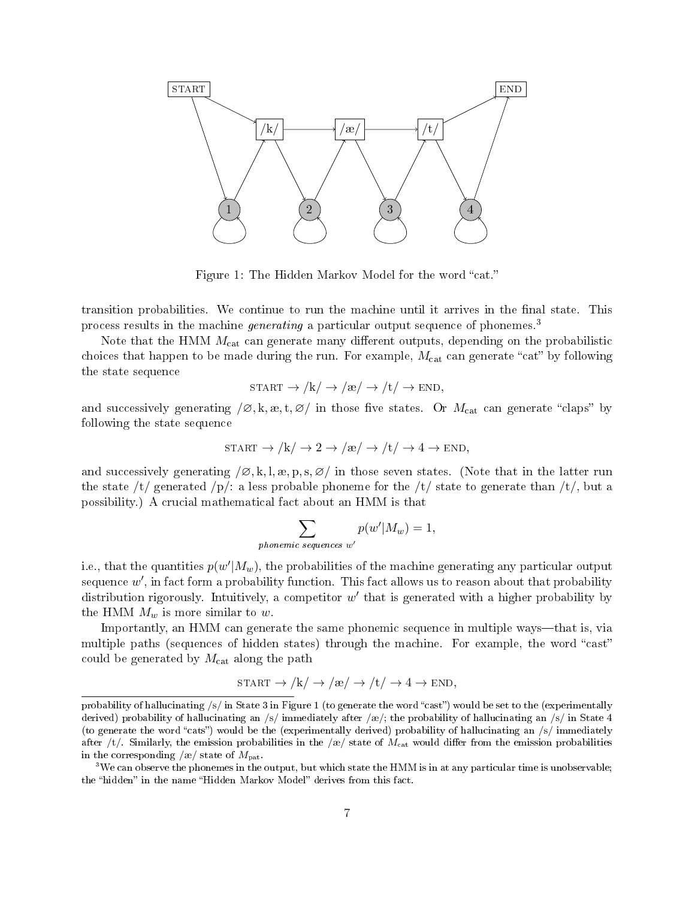

Figure 1: The Hidden Markov Model for the word "cat."

transition probabilities. We continue to run the machine until it arrives in the final state. This process results in the machine generating a particular output sequence of phonemes.<sup>3</sup>

Note that the HMM  $M_{\text{cat}}$  can generate many different outputs, depending on the probabilistic choices that happen to be made during the run. For example,  $M_{cat}$  can generate "cat" by following the state sequence

$$
START \to /k/ \to / \infty/ \to /t/ \to END,
$$

and successively generating  $/\emptyset$ , k,  $\mathfrak{E}, t, \emptyset$  in those five states. Or  $M_{\text{cat}}$  can generate "claps" by following the state sequence

$$
START \to /k/ \to 2 \to / \infty/ \to /t/ \to 4 \to END,
$$

and successively generating  $(\emptyset, k, l, \infty, p, s, \emptyset)$  in those seven states. (Note that in the latter run the state /t/ generated /p/: a less probable phoneme for the /t/ state to generate than /t/, but a possibility.) A crucial mathematical fact about an HMM is that

$$
\sum_{\textit{phonemic sequences } w'} p(w'|M_w) = 1,
$$

i.e., that the quantities  $p(w'|M_w)$ , the probabilities of the machine generating any particular output sequence  $w'$ , in fact form a probability function. This fact allows us to reason about that probability distribution rigorously. Intuitively, a competitor  $w'$  that is generated with a higher probability by the HMM  $M_w$  is more similar to w.

Importantly, an HMM can generate the same phonemic sequence in multiple ways—that is, via multiple paths (sequences of hidden states) through the machine. For example, the word "cast" could be generated by  $M_{\text{cat}}$  along the path

$$
START \to /k/ \to / \infty/ \to /t/ \to 4 \to END,
$$

probability of hallucinating  $/s/$  in State 3 in Figure 1 (to generate the word "cast") would be set to the (experimentally derived) probability of hallucinating an /s/ immediately after /æ/; the probability of hallucinating an /s/ in State 4 (to generate the word "cats") would be the (experimentally derived) probability of hallucinating an  $/s/$  immediately after /t/. Similarly, the emission probabilities in the /æ/ state of  $M_{\text{cat}}$  would differ from the emission probabilities in the corresponding  $\alpha$  / state of  $M_{\text{pat}}$ .

 $3W$ e can observe the phonemes in the output, but which state the HMM is in at any particular time is unobservable; the "hidden" in the name "Hidden Markov Model" derives from this fact.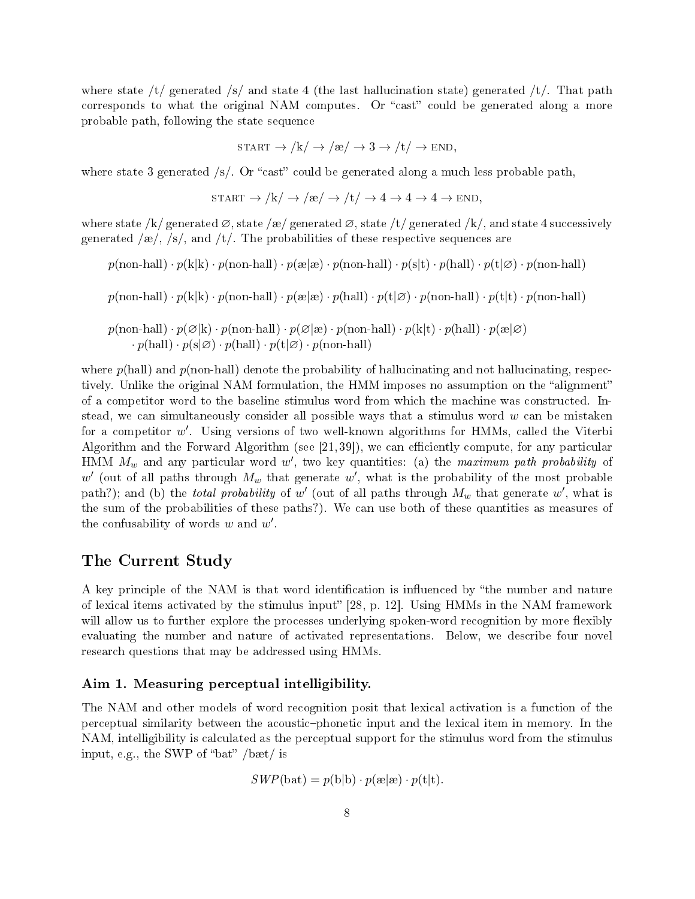where state  $/t$  generated  $/s$  and state 4 (the last hallucination state) generated  $/t$ . That path corresponds to what the original NAM computes. Or "cast" could be generated along a more probable path, following the state sequence

$$
START \to /k/ \to / \infty/ \to 3 \to /t/ \to END,
$$

where state 3 generated  $\sqrt{s}$ . Or "cast" could be generated along a much less probable path,

$$
START \to /k/ \to / \infty/ \to /t/ \to 4 \to 4 \to 4 \to END,
$$

where state /k/ generated  $\varnothing$ , state /æ/ generated  $\varnothing$ , state /t/ generated /k/, and state 4 successively generated  $\sqrt{\mathfrak{s}}$ ,  $\sqrt{\mathfrak{s}}$ , and  $\sqrt{\mathfrak{t}}$ . The probabilities of these respective sequences are

 $p(\text{non-hall}) \cdot p(\text{k}|\text{k}) \cdot p(\text{non-hall}) \cdot p(\text{æ}|\text{æ}) \cdot p(\text{non-hall}) \cdot p(\text{s}|\text{t}) \cdot p(\text{hall}) \cdot p(\text{t}|\varnothing) \cdot p(\text{non-hall})$ 

 $p(\text{non-hall}) \cdot p(\text{k}|\text{k}) \cdot p(\text{non-hall}) \cdot p(\text{æ}|\text{æ}) \cdot p(\text{hall}) \cdot p(\text{t}|\varnothing) \cdot p(\text{non-hall}) \cdot p(\text{t}|\text{t}) \cdot p(\text{non-hall})$ 

 $p(\text{non-hall}) \cdot p(\varnothing|\mathbf{k}) \cdot p(\text{non-hall}) \cdot p(\varnothing|\mathbf{e}) \cdot p(\text{non-hall}) \cdot p(\mathbf{k}|\mathbf{t}) \cdot p(\text{hall}) \cdot p(\mathbf{e}|\varnothing)$  $\cdot p(\text{hall}) \cdot p(\text{s}|\varnothing) \cdot p(\text{hall}) \cdot p(\text{t}|\varnothing) \cdot p(\text{non-hall})$ 

where  $p(\text{hall})$  and  $p(\text{non-hall})$  denote the probability of hallucinating and not hallucinating, respectively. Unlike the original NAM formulation, the HMM imposes no assumption on the "alignment" of a competitor word to the baseline stimulus word from which the machine was constructed. Instead, we can simultaneously consider all possible ways that a stimulus word  $w$  can be mistaken for a competitor  $w'$ . Using versions of two well-known algorithms for HMMs, called the Viterbi Algorithm and the Forward Algorithm (see  $[21, 39]$ ), we can efficiently compute, for any particular HMM  $M_w$  and any particular word  $w'$ , two key quantities: (a) the maximum path probability of  $w'$  (out of all paths through  $M_w$  that generate  $w'$ , what is the probability of the most probable path?); and (b) the *total probability* of w' (out of all paths through  $M_w$  that generate w', what is the sum of the probabilities of these paths?). We can use both of these quantities as measures of the confusability of words  $w$  and  $w'$ .

# The Current Study

A key principle of the NAM is that word identification is influenced by "the number and nature of lexical items activated by the stimulus input"  $[28, p. 12]$ . Using HMMs in the NAM framework will allow us to further explore the processes underlying spoken-word recognition by more flexibly evaluating the number and nature of activated representations. Below, we describe four novel research questions that may be addressed using HMMs.

#### Aim 1. Measuring perceptual intelligibility.

The NAM and other models of word recognition posit that lexical activation is a function of the perceptual similarity between the acoustic-phonetic input and the lexical item in memory. In the NAM, intelligibility is calculated as the perceptual support for the stimulus word from the stimulus input, e.g., the SWP of "bat"  $\sqrt{\frac{b^2}{s^2}}$ 

$$
SWP(\text{bat}) = p(\text{b}|\text{b}) \cdot p(\text{a}|\text{a}) \cdot p(\text{t}|\text{t}).
$$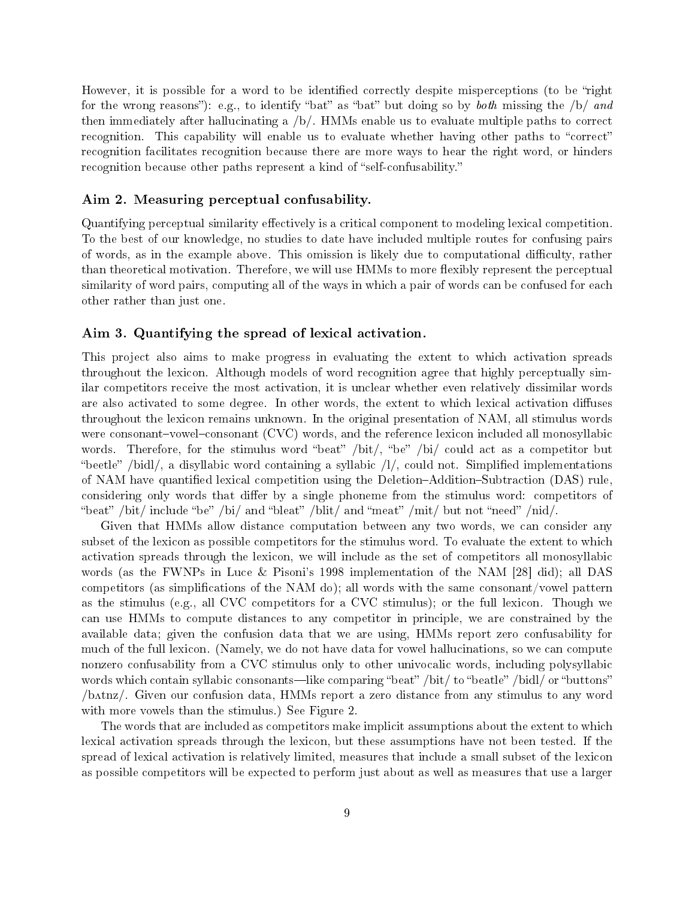However, it is possible for a word to be identified correctly despite misperceptions (to be "right" for the wrong reasons"): e.g., to identify "bat" as "bat" but doing so by *both* missing the  $/b/$  and then immediately after hallucinating a /b/. HMMs enable us to evaluate multiple paths to correct recognition. This capability will enable us to evaluate whether having other paths to "correct" recognition facilitates recognition because there are more ways to hear the right word, or hinders recognition because other paths represent a kind of "self-confusability."

### Aim 2. Measuring perceptual confusability.

Quantifying perceptual similarity effectively is a critical component to modeling lexical competition. To the best of our knowledge, no studies to date have included multiple routes for confusing pairs of words, as in the example above. This omission is likely due to computational difficulty, rather than theoretical motivation. Therefore, we will use HMMs to more flexibly represent the perceptual similarity of word pairs, computing all of the ways in which a pair of words can be confused for each other rather than just one.

## Aim 3. Quantifying the spread of lexical activation.

This project also aims to make progress in evaluating the extent to which activation spreads throughout the lexicon. Although models of word recognition agree that highly perceptually similar competitors receive the most activation, it is unclear whether even relatively dissimilar words are also activated to some degree. In other words, the extent to which lexical activation diffuses throughout the lexicon remains unknown. In the original presentation of NAM, all stimulus words were consonant-vowel-consonant  $(CVC)$  words, and the reference lexicon included all monosyllabic words. Therefore, for the stimulus word "beat" /bit/, "be" /bi/ could act as a competitor but "beetle" /bidl/, a disyllabic word containing a syllabic  $\lambda$ . Could not. Simplified implementations of NAM have quantified lexical competition using the Deletion–Addition–Subtraction (DAS) rule. considering only words that differ by a single phoneme from the stimulus word: competitors of "beat" /bit/ include "be" /bi/ and "bleat" /blit/ and "meat" /mit/ but not "need" /nid/.

Given that HMMs allow distance computation between any two words, we can consider any subset of the lexicon as possible competitors for the stimulus word. To evaluate the extent to which activation spreads through the lexicon, we will include as the set of competitors all monosyllabic words (as the FWNPs in Luce & Pisoni's 1998 implementation of the NAM [28] did); all DAS competitors (as simplications of the NAM do); all words with the same consonant/vowel pattern as the stimulus (e.g., all CVC competitors for a CVC stimulus); or the full lexicon. Though we can use HMMs to compute distances to any competitor in principle, we are constrained by the available data; given the confusion data that we are using, HMMs report zero confusability for much of the full lexicon. (Namely, we do not have data for vowel hallucinations, so we can compute nonzero confusability from a CVC stimulus only to other univocalic words, including polysyllabic words which contain syllabic consonants—like comparing "beat" /bit/ to "beatle" /bidl/ or "buttons" /b2tnz/. Given our confusion data, HMMs report a zero distance from any stimulus to any word with more vowels than the stimulus.) See Figure 2.

The words that are included as competitors make implicit assumptions about the extent to which lexical activation spreads through the lexicon, but these assumptions have not been tested. If the spread of lexical activation is relatively limited, measures that include a small subset of the lexicon as possible competitors will be expected to perform just about as well as measures that use a larger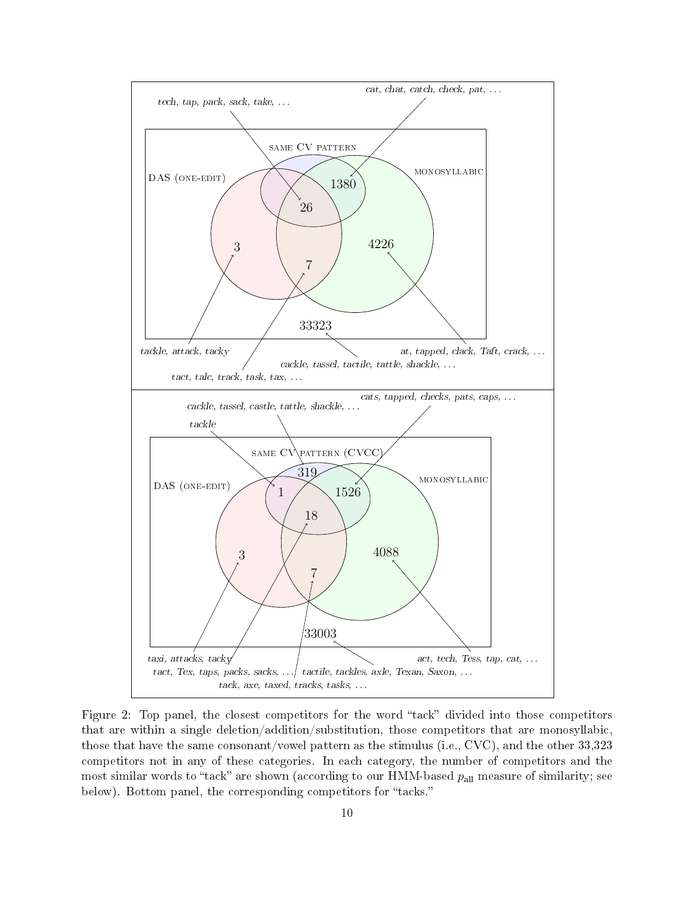

Figure 2: Top panel, the closest competitors for the word "tack" divided into those competitors that are within a single deletion/addition/substitution, those competitors that are monosyllabic, those that have the same consonant/vowel pattern as the stimulus (i.e., CVC), and the other 33,323 competitors not in any of these categories. In each category, the number of competitors and the most similar words to "tack" are shown (according to our HMM-based  $p_{all}$  measure of similarity; see below). Bottom panel, the corresponding competitors for "tacks."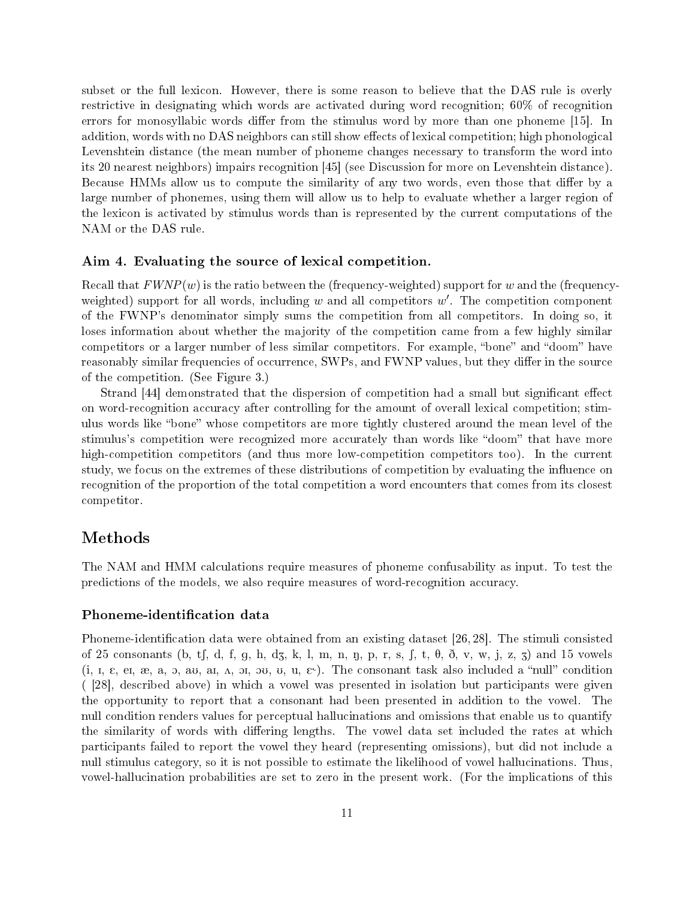subset or the full lexicon. However, there is some reason to believe that the DAS rule is overly restrictive in designating which words are activated during word recognition; 60% of recognition errors for monosyllabic words differ from the stimulus word by more than one phoneme [15]. In addition, words with no DAS neighbors can still show effects of lexical competition; high phonological Levenshtein distance (the mean number of phoneme changes necessary to transform the word into its 20 nearest neighbors) impairs recognition [45] (see Discussion for more on Levenshtein distance). Because HMMs allow us to compute the similarity of any two words, even those that differ by a large number of phonemes, using them will allow us to help to evaluate whether a larger region of the lexicon is activated by stimulus words than is represented by the current computations of the NAM or the DAS rule.

## Aim 4. Evaluating the source of lexical competition.

Recall that  $FWNP(w)$  is the ratio between the (frequency-weighted) support for w and the (frequencyweighted) support for all words, including  $w$  and all competitors  $w'$ . The competition component of the FWNP's denominator simply sums the competition from all competitors. In doing so, it loses information about whether the majority of the competition came from a few highly similar competitors or a larger number of less similar competitors. For example, "bone" and "doom" have reasonably similar frequencies of occurrence, SWPs, and FWNP values, but they differ in the source of the competition. (See Figure 3.)

Strand [44] demonstrated that the dispersion of competition had a small but significant effect on word-recognition accuracy after controlling for the amount of overall lexical competition; stimulus words like "bone" whose competitors are more tightly clustered around the mean level of the stimulus's competition were recognized more accurately than words like "doom" that have more high-competition competitors (and thus more low-competition competitors too). In the current study, we focus on the extremes of these distributions of competition by evaluating the influence on recognition of the proportion of the total competition a word encounters that comes from its closest competitor.

# Methods

The NAM and HMM calculations require measures of phoneme confusability as input. To test the predictions of the models, we also require measures of word-recognition accuracy.

## Phoneme-identification data

Phoneme-identification data were obtained from an existing dataset [26, 28]. The stimuli consisted of 25 consonants (b, tf, d, f, g, h, dz, k, l, m, n, n, p, r, s, f, t,  $\theta$ ,  $\delta$ , v, w, j, z, z) and 15 vowels  $(i, r, \varepsilon, e, a, a, s, a, a, a, a, a, a, a, b, c)$ . The consonant task also included a "null" condition ( [28], described above) in which a vowel was presented in isolation but participants were given the opportunity to report that a consonant had been presented in addition to the vowel. The null condition renders values for perceptual hallucinations and omissions that enable us to quantify the similarity of words with differing lengths. The vowel data set included the rates at which participants failed to report the vowel they heard (representing omissions), but did not include a null stimulus category, so it is not possible to estimate the likelihood of vowel hallucinations. Thus, vowel-hallucination probabilities are set to zero in the present work. (For the implications of this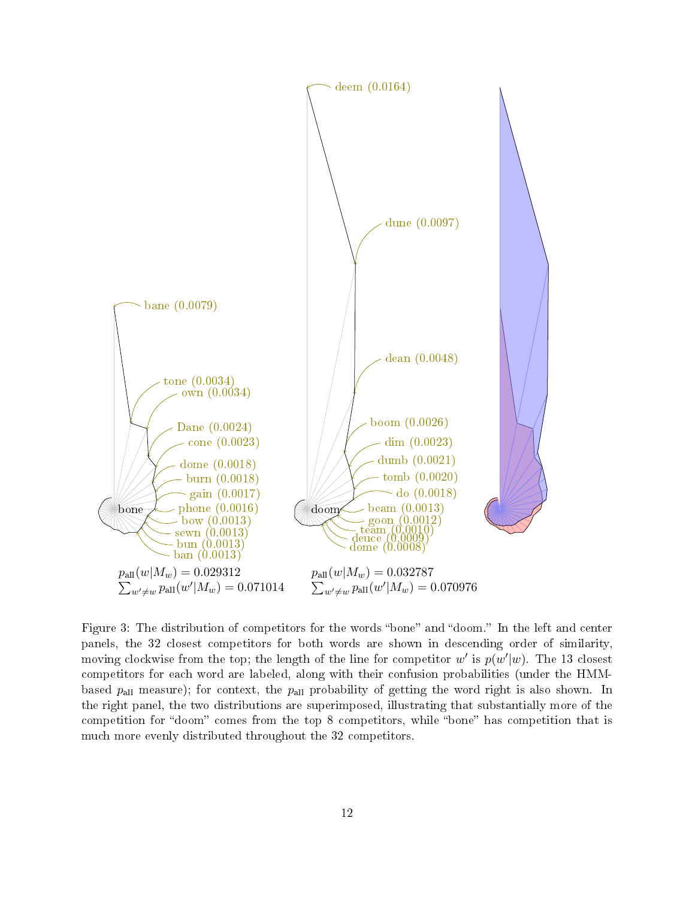

Figure 3: The distribution of competitors for the words "bone" and "doom." In the left and center panels, the 32 closest competitors for both words are shown in descending order of similarity, moving clockwise from the top; the length of the line for competitor  $w'$  is  $p(w'|w)$ . The 13 closest competitors for each word are labeled, along with their confusion probabilities (under the HMMbased  $p_{all}$  measure); for context, the  $p_{all}$  probability of getting the word right is also shown. In the right panel, the two distributions are superimposed, illustrating that substantially more of the competition for "doom" comes from the top 8 competitors, while "bone" has competition that is much more evenly distributed throughout the 32 competitors.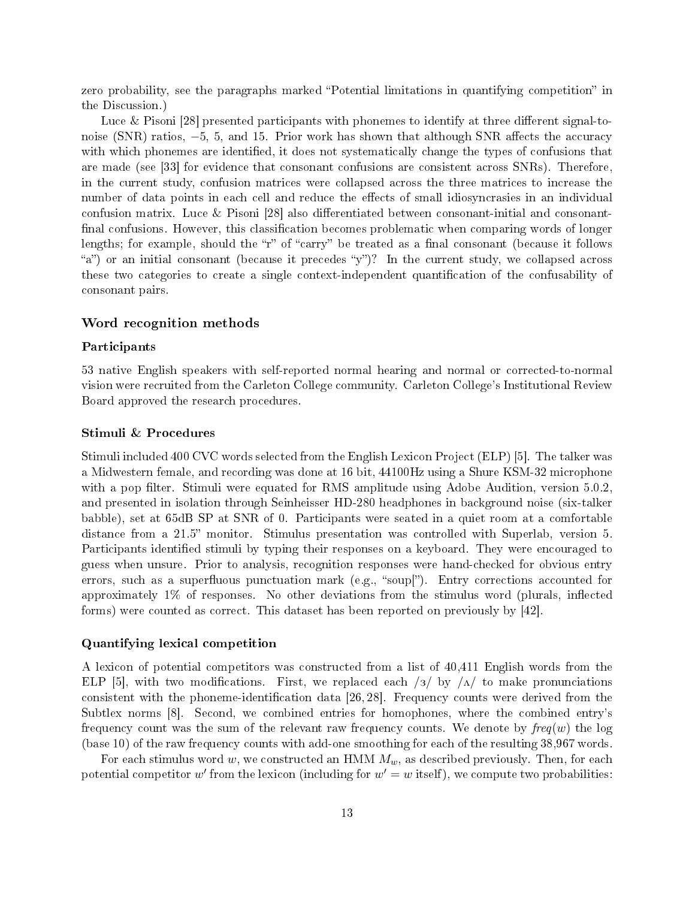zero probability, see the paragraphs marked "Potential limitations in quantifying competition" in the Discussion.)

Luce & Pisoni [28] presented participants with phonemes to identify at three different signal-tonoise (SNR) ratios,  $-5$ , 5, and 15. Prior work has shown that although SNR affects the accuracy with which phonemes are identified, it does not systematically change the types of confusions that are made (see [33] for evidence that consonant confusions are consistent across SNRs). Therefore, in the current study, confusion matrices were collapsed across the three matrices to increase the number of data points in each cell and reduce the effects of small idiosyncrasies in an individual confusion matrix. Luce & Pisoni [28] also differentiated between consonant-initial and consonantfinal confusions. However, this classification becomes problematic when comparing words of longer lengths; for example, should the "r" of "carry" be treated as a final consonant (because it follows "a") or an initial consonant (because it precedes "y")? In the current study, we collapsed across these two categories to create a single context-independent quantication of the confusability of consonant pairs.

#### Word recognition methods

#### Participants

53 native English speakers with self-reported normal hearing and normal or corrected-to-normal vision were recruited from the Carleton College community. Carleton College's Institutional Review Board approved the research procedures.

#### Stimuli & Procedures

Stimuli included 400 CVC words selected from the English Lexicon Project (ELP) [5]. The talker was a Midwestern female, and recording was done at 16 bit, 44100Hz using a Shure KSM-32 microphone with a pop filter. Stimuli were equated for RMS amplitude using Adobe Audition, version 5.0.2. and presented in isolation through Seinheisser HD-280 headphones in background noise (six-talker babble), set at 65dB SP at SNR of 0. Participants were seated in a quiet room at a comfortable distance from a 21.5" monitor. Stimulus presentation was controlled with Superlab, version 5. Participants identified stimuli by typing their responses on a keyboard. They were encouraged to guess when unsure. Prior to analysis, recognition responses were hand-checked for obvious entry errors, such as a superfluous punctuation mark (e.g., "soup["). Entry corrections accounted for approximately  $1\%$  of responses. No other deviations from the stimulus word (plurals, inflected forms) were counted as correct. This dataset has been reported on previously by [42].

#### Quantifying lexical competition

A lexicon of potential competitors was constructed from a list of 40,411 English words from the ELP [5], with two modifications. First, we replaced each  $\frac{3}{\sqrt{2}}$  by  $\frac{1}{\sqrt{2}}$  to make pronunciations consistent with the phoneme-identification data  $[26, 28]$ . Frequency counts were derived from the Subtlex norms [8]. Second, we combined entries for homophones, where the combined entry's frequency count was the sum of the relevant raw frequency counts. We denote by  $freq(w)$  the log (base 10) of the raw frequency counts with add-one smoothing for each of the resulting 38,967 words.

For each stimulus word w, we constructed an HMM  $M_w$ , as described previously. Then, for each potential competitor w' from the lexicon (including for  $w' = w$  itself), we compute two probabilities: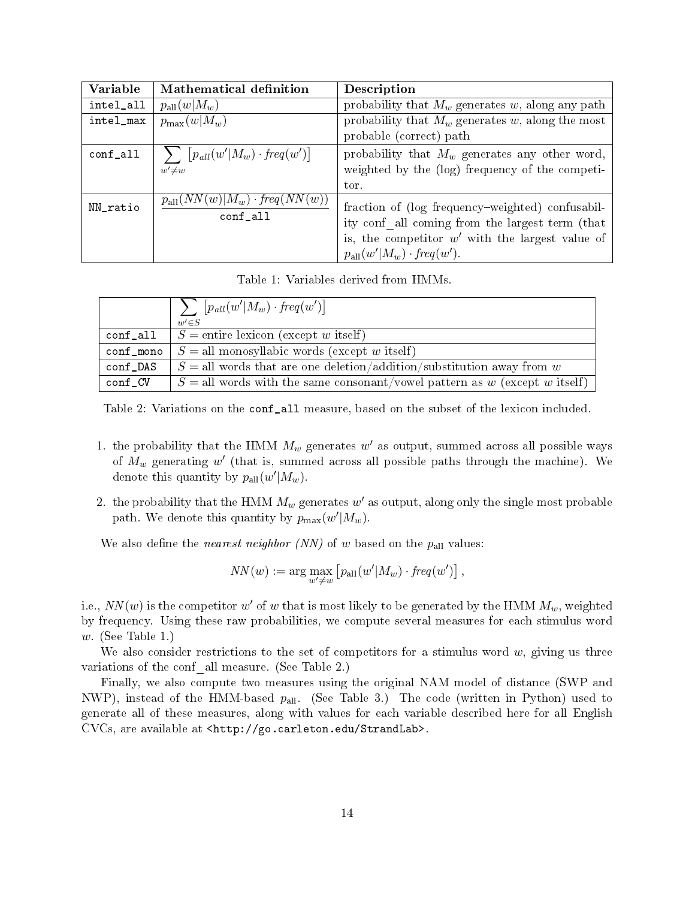| Variable    | Mathematical definition                                             | Description                                                                                                                                                                                   |
|-------------|---------------------------------------------------------------------|-----------------------------------------------------------------------------------------------------------------------------------------------------------------------------------------------|
| intel_all   | $p_{all}(w M_w)$                                                    | probability that $M_w$ generates w, along any path                                                                                                                                            |
| intel_max   | $p_{\max}(w M_w)$                                                   | probability that $M_w$ generates w, along the most                                                                                                                                            |
|             |                                                                     | probable (correct) path                                                                                                                                                                       |
| $conf$ _all | $\sum \left[ p_{all}(w' M_w) \cdot freq(w') \right]$<br>$w' \neq w$ | probability that $M_w$ generates any other word,<br>weighted by the (log) frequency of the competi-                                                                                           |
|             |                                                                     | tor.                                                                                                                                                                                          |
| NN_ratio    | $p_{\text{all}}(NN(w) M_w) \cdot freq(NN(w))$<br>$conf_all$         | fraction of (log frequency-weighted) confusabil-<br>ity conf all coming from the largest term (that<br>is, the competitor $w'$ with the largest value of<br>$p_{all}(w' M_w) \cdot freq(w').$ |

Table 1: Variables derived from HMMs.

|                     | $\left( \sum_{v} \left[ p_{all}(w' M_w) \cdot freq(w') \right] \right)$<br>$w' \in S$ |
|---------------------|---------------------------------------------------------------------------------------|
|                     | conf_all $S =$ entire lexicon (except w itself)                                       |
| conf_mono           | $ S =$ all monosyllabic words (except w itself)                                       |
| conf_DAS            | $S =$ all words that are one deletion/addition/substitution away from w               |
| $\texttt{conf\_CV}$ | $S =$ all words with the same consonant/vowel pattern as w (except w itself)          |

Table 2: Variations on the conf\_all measure, based on the subset of the lexicon included.

- 1. the probability that the HMM  $M_w$  generates  $w'$  as output, summed across all possible ways of  $M_w$  generating  $w'$  (that is, summed across all possible paths through the machine). We denote this quantity by  $p_{all}(w'|M_w)$ .
- 2. the probability that the HMM  $M_w$  generates  $w^\prime$  as output, along only the single most probable path. We denote this quantity by  $p_{\text{max}}(w'|M_w)$ .

We also define the *nearest neighbor* (NN) of w based on the  $p_{all}$  values:

$$
NN(w) := \arg\max_{w' \neq w} \left[ p_{\text{all}}(w'|M_w) \cdot \text{freq}(w') \right],
$$

i.e.,  $NN(w)$  is the competitor  $w'$  of  $w$  that is most likely to be generated by the HMM  $M_w$ , weighted by frequency. Using these raw probabilities, we compute several measures for each stimulus word w. (See Table 1.)

We also consider restrictions to the set of competitors for a stimulus word  $w$ , giving us three variations of the conf\_all measure. (See Table 2.)

Finally, we also compute two measures using the original NAM model of distance (SWP and NWP), instead of the HMM-based  $p_{all}$ . (See Table 3.) The code (written in Python) used to generate all of these measures, along with values for each variable described here for all English CVCs, are available at <http://go.carleton.edu/StrandLab>.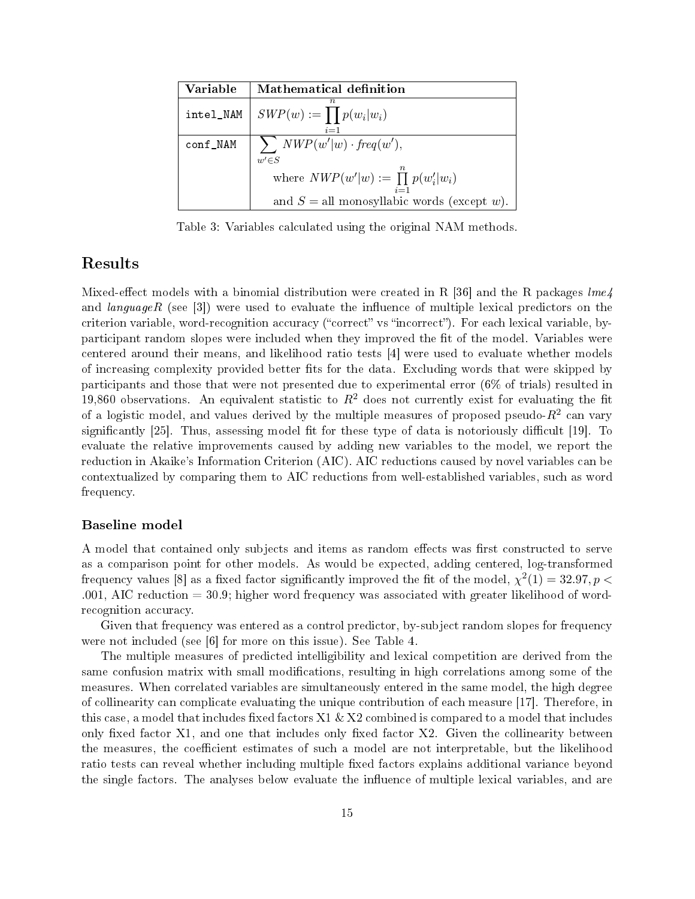| Variable  | Mathematical definition                                   |
|-----------|-----------------------------------------------------------|
| intel_NAM | $\boldsymbol{n}$<br>$SWP(w) := \prod p(w_i w_i)$<br>$i=1$ |
| conf_NAM  | $\sum NWP(w' w) \cdot freq(w'),$<br>$w' \in S$            |
|           | where $NWP(w' w) := \prod p(w'_i w_i)$<br>$i=1$           |
|           | and $S =$ all monosyllabic words (except w).              |

Table 3: Variables calculated using the original NAM methods.

# Results

Mixed-effect models with a binomial distribution were created in R [36] and the R packages  $lmc/4$ and *languageR* (see [3]) were used to evaluate the influence of multiple lexical predictors on the criterion variable, word-recognition accuracy ("correct" vs "incorrect"). For each lexical variable, byparticipant random slopes were included when they improved the fit of the model. Variables were centered around their means, and likelihood ratio tests [4] were used to evaluate whether models of increasing complexity provided better fits for the data. Excluding words that were skipped by participants and those that were not presented due to experimental error (6% of trials) resulted in 19,860 observations. An equivalent statistic to  $R^2$  does not currently exist for evaluating the fit of a logistic model, and values derived by the multiple measures of proposed pseudo- $R^2$  can vary significantly  $[25]$ . Thus, assessing model fit for these type of data is notoriously difficult  $[19]$ . To evaluate the relative improvements caused by adding new variables to the model, we report the reduction in Akaike's Information Criterion (AIC). AIC reductions caused by novel variables can be contextualized by comparing them to AIC reductions from well-established variables, such as word frequency.

## Baseline model

A model that contained only subjects and items as random effects was first constructed to serve as a comparison point for other models. As would be expected, adding centered, log-transformed frequency values [8] as a fixed factor significantly improved the fit of the model,  $\chi^2(1)=32.97, p<$ .001, AIC reduction  $= 30.9$ ; higher word frequency was associated with greater likelihood of wordrecognition accuracy.

Given that frequency was entered as a control predictor, by-subject random slopes for frequency were not included (see [6] for more on this issue). See Table 4.

The multiple measures of predicted intelligibility and lexical competition are derived from the same confusion matrix with small modifications, resulting in high correlations among some of the measures. When correlated variables are simultaneously entered in the same model, the high degree of collinearity can complicate evaluating the unique contribution of each measure [17]. Therefore, in this case, a model that includes fixed factors  $X1 \& X2$  combined is compared to a model that includes only fixed factor  $X1$ , and one that includes only fixed factor  $X2$ . Given the collinearity between the measures, the coefficient estimates of such a model are not interpretable, but the likelihood ratio tests can reveal whether including multiple fixed factors explains additional variance beyond the single factors. The analyses below evaluate the influence of multiple lexical variables, and are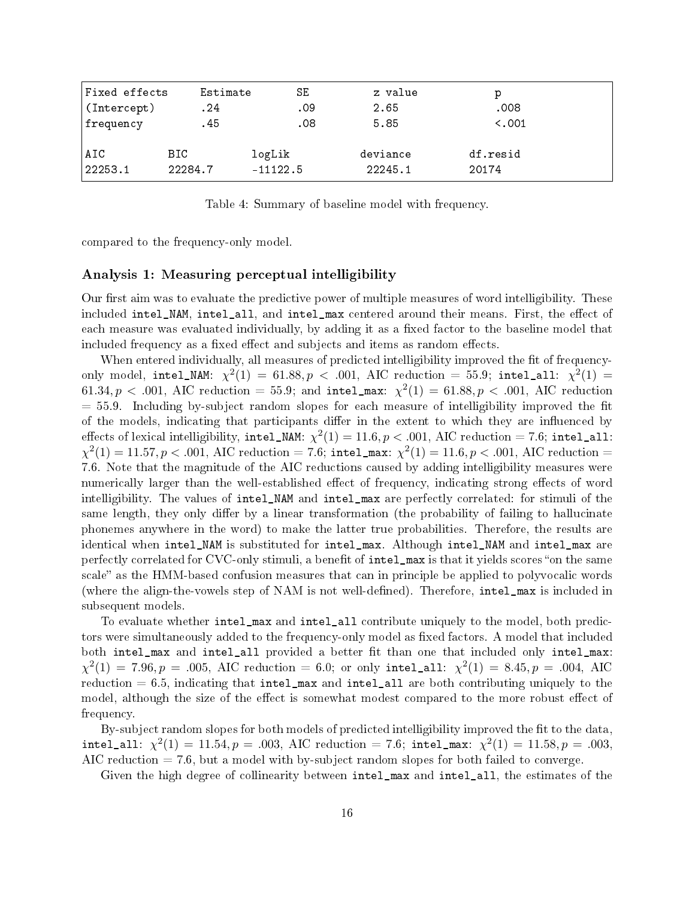| Fixed effects | Estimate | SE.        | z value  | p        |  |
|---------------|----------|------------|----------|----------|--|
| (Intercept)   | .24      | .09        | 2.65     | .008     |  |
| frequency     | . 45     | .08        | 5.85     | < .001   |  |
| AIC           | BIC.     | logLik     | deviance | df.resid |  |
| 22253.1       | 22284.7  | $-11122.5$ | 22245.1  | 20174    |  |

Table 4: Summary of baseline model with frequency.

compared to the frequency-only model.

## Analysis 1: Measuring perceptual intelligibility

Our first aim was to evaluate the predictive power of multiple measures of word intelligibility. These included intel\_NAM, intel\_all, and intel\_max centered around their means. First, the effect of each measure was evaluated individually, by adding it as a fixed factor to the baseline model that included frequency as a fixed effect and subjects and items as random effects.

When entered individually, all measures of predicted intelligibility improved the fit of frequencyonly model, intel\_NAM:  $\chi^2(1)$  = 61.88, $p$  < .001, AIC reduction = 55.9; intel\_all:  $\chi^2(1)$  = 61.34,  $p < .001$ , AIC reduction = 55.9; and intel\_max:  $\chi^2(1) = 61.88, p < .001$ , AIC reduction  $= 55.9$ . Including by-subject random slopes for each measure of intelligibility improved the fit of the models, indicating that participants differ in the extent to which they are influenced by effects of lexical intelligibility, <code>intel\_NAM</code>:  $\chi^2(1)=11.6, p< .001, \mathrm{AIC}$  reduction = 7.6; <code>intel\_all</code>:  $\chi^2(1)=11.57, p<.001, \, \mathrm{AIC \,\, reduction} = 7.6; \, \texttt{intel\_max:} \,\, \chi^2(1)=11.6, p<.001, \, \mathrm{AIC \,\, reduction} = 0.01, p<.001, p<.001, p<.001, p<.001, p<.001, p<.001, p<.001, p<.001, p<.001, p<.001, p<.001, p<.001, p<.001, p<.001, p<.001, p<.001, p<.001, p<.001, p<.$ 7.6. Note that the magnitude of the AIC reductions caused by adding intelligibility measures were numerically larger than the well-established effect of frequency, indicating strong effects of word intelligibility. The values of intel\_NAM and intel\_max are perfectly correlated: for stimuli of the same length, they only differ by a linear transformation (the probability of failing to hallucinate phonemes anywhere in the word) to make the latter true probabilities. Therefore, the results are identical when intel\_NAM is substituted for intel\_max. Although intel\_NAM and intel\_max are perfectly correlated for CVC-only stimuli, a benefit of intel\_max is that it yields scores "on the same scale" as the HMM-based confusion measures that can in principle be applied to polyvocalic words (where the align-the-vowels step of NAM is not well-defined). Therefore, intel\_max is included in subsequent models.

To evaluate whether intel\_max and intel\_all contribute uniquely to the model, both predictors were simultaneously added to the frequency-only model as fixed factors. A model that included both intel\_max and intel\_all provided a better fit than one that included only intel\_max:  $\chi^2(1) = 7.96, p = .005, \,\mathrm{AIC\,\, reduction} = 6.0; \,\,\mathrm{or} \,\,\mathrm{only\,\, intel\_all:} \,\,\, \chi^2(1) = 8.45, p = .004, \,\mathrm{AIC}$ reduction  $= 6.5$ , indicating that intel\_max and intel\_all are both contributing uniquely to the model, although the size of the effect is somewhat modest compared to the more robust effect of frequency.

By-subject random slopes for both models of predicted intelligibility improved the fit to the data. intel\_all:  $\chi^2(1) = 11.54, p = .003, \text{ AIC reduction} = 7.6; \text{intel\_max: } \chi^2(1) = 11.58, p = .003,$ AIC reduction  $= 7.6$ , but a model with by-subject random slopes for both failed to converge.

Given the high degree of collinearity between intel\_max and intel\_all, the estimates of the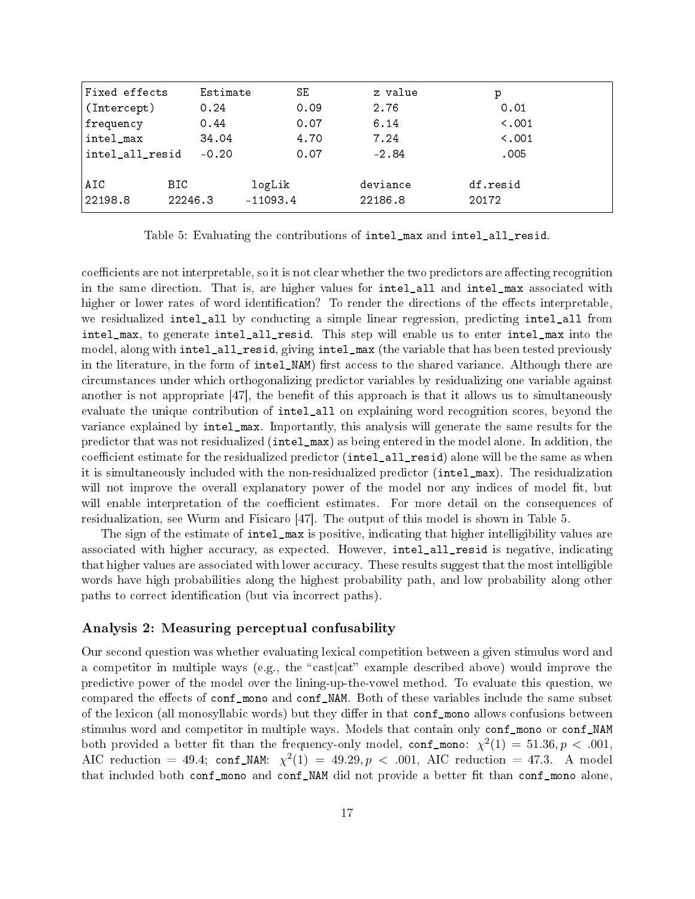| Fixed effects   |         | Estimate |            | SE.  | z value  | р        |  |
|-----------------|---------|----------|------------|------|----------|----------|--|
| (Intercept)     |         | 0.24     |            | 0.09 | 2.76     | 0.01     |  |
| frequency       |         | 0.44     |            | 0.07 | 6.14     | < .001   |  |
| intel_max       |         | 34.04    |            | 4.70 | 7.24     | < 0.001  |  |
| intel_all_resid |         | $-0.20$  |            | 0.07 | $-2.84$  | .005     |  |
|                 |         |          |            |      |          |          |  |
| AIC             | BIC     |          | logLik     |      | deviance | df.resid |  |
| 22198.8         | 22246.3 |          | $-11093.4$ |      | 22186.8  | 20172    |  |

Table 5: Evaluating the contributions of intel\_max and intel\_all\_resid.

coefficients are not interpretable, so it is not clear whether the two predictors are affecting recognition in the same direction. That is, are higher values for  $intel$ <sub>211</sub> and  $intel$ <sub>max</sub> associated with higher or lower rates of word identification? To render the directions of the effects interpretable. we residualized intel\_all by conducting a simple linear regression, predicting intel\_all from intel\_max, to generate intel\_all\_resid. This step will enable us to enter intel\_max into the model, along with intel\_all\_resid, giving intel\_max (the variable that has been tested previously in the literature, in the form of  $intel_MAM$ ) first access to the shared variance. Although there are circumstances under which orthogonalizing predictor variables by residualizing one variable against another is not appropriate  $[47]$ , the benefit of this approach is that it allows us to simultaneously evaluate the unique contribution of intel\_all on explaining word recognition scores, beyond the variance explained by intel\_max. Importantly, this analysis will generate the same results for the predictor that was not residualized (intel\_max) as being entered in the model alone. In addition, the coefficient estimate for the residualized predictor (intel\_all\_resid) alone will be the same as when it is simultaneously included with the non-residualized predictor (intel\_max). The residualization will not improve the overall explanatory power of the model nor any indices of model fit, but will enable interpretation of the coefficient estimates. For more detail on the consequences of residualization, see Wurm and Fisicaro [47]. The output of this model is shown in Table 5.

The sign of the estimate of intel\_max is positive, indicating that higher intelligibility values are associated with higher accuracy, as expected. However, intel\_all\_resid is negative, indicating that higher values are associated with lower accuracy. These results suggest that the most intelligible words have high probabilities along the highest probability path, and low probability along other paths to correct identification (but via incorrect paths).

#### Analysis 2: Measuring perceptual confusability

Our second question was whether evaluating lexical competition between a given stimulus word and a competitor in multiple ways (e.g., the "cast  $|cat"$  example described above) would improve the predictive power of the model over the lining-up-the-vowel method. To evaluate this question, we compared the effects of conf\_mono and conf\_NAM. Both of these variables include the same subset of the lexicon (all monosyllabic words) but they differ in that conf\_mono allows confusions between stimulus word and competitor in multiple ways. Models that contain only conf\_mono or conf\_NAM both provided a better fit than the frequency-only model, conf\_mono:  $\chi^2(1) = 51.36, p < .001,$ AIC reduction = 49.4; conf\_NAM:  $\chi^2(1)$  = 49.29,  $p$  < .001, AIC reduction = 47.3. A model that included both conf\_mono and conf\_NAM did not provide a better fit than conf\_mono alone.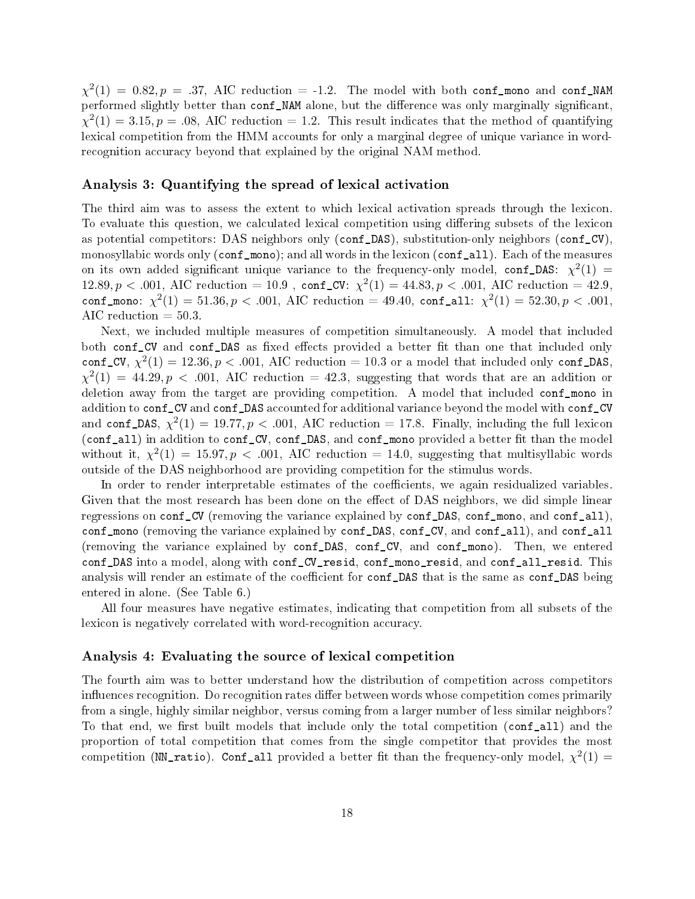$\chi^2(1)\,=\,0.82, p\,=\, .37, \;{\rm AIC \,\,\, reduction}\,=\,$  -1.2. The model with both conf\_mono and conf\_NAM performed slightly better than conf\_NAM alone, but the difference was only marginally significant.  $\chi^2(1) = 3.15, p = .08, \text{ AIC reduction} = 1.2. \text{ This result indicates that the method of quantifying.}$ lexical competition from the HMM accounts for only a marginal degree of unique variance in wordrecognition accuracy beyond that explained by the original NAM method.

#### Analysis 3: Quantifying the spread of lexical activation

The third aim was to assess the extent to which lexical activation spreads through the lexicon. To evaluate this question, we calculated lexical competition using differing subsets of the lexicon as potential competitors: DAS neighbors only (conf\_DAS), substitution-only neighbors (conf\_CV), monosyllabic words only (conf\_mono); and all words in the lexicon (conf\_all). Each of the measures on its own added significant unique variance to the frequency-only model, conf\_DAS:  $\chi^2(1)$  = 12.89,  $p < .001$ , AIC reduction = 10.9 , conf\_CV:  $\chi^2(1) = 44.83, p < .001$ , AIC reduction = 42.9, conf\_mono:  $\chi^2(1) = 51.36, p < .001$ , AIC reduction = 49.40, conf\_all:  $\chi^2(1) = 52.30, p < .001$ , AIC reduction  $= 50.3$ .

Next, we included multiple measures of competition simultaneously. A model that included both conf\_CV and conf\_DAS as fixed effects provided a better fit than one that included only conf\_CV,  $\chi^2(1) = 12.36, p < .001$ , AIC reduction = 10.3 or a model that included only conf\_DAS,  $\chi^2(1) = 44.29, p < .001, \text{ AIC reduction} = 42.3, \text{ suggesting that words that are an addition or }$ deletion away from the target are providing competition. A model that included conf\_mono in addition to conf\_CV and conf\_DAS accounted for additional variance beyond the model with conf\_CV and conf\_DAS,  $\chi^2(1) = 19.77, p < .001$ , AIC reduction = 17.8. Finally, including the full lexicon (conf\_all) in addition to conf\_CV, conf\_DAS, and conf\_mono provided a better fit than the model without it,  $\chi^2(1) = 15.97, p < .001$ , AIC reduction = 14.0, suggesting that multisyllabic words outside of the DAS neighborhood are providing competition for the stimulus words.

In order to render interpretable estimates of the coefficients, we again residualized variables. Given that the most research has been done on the effect of DAS neighbors, we did simple linear regressions on conf\_CV (removing the variance explained by conf\_DAS, conf\_mono, and conf\_all), conf\_mono (removing the variance explained by conf\_DAS, conf\_CV, and conf\_all), and conf\_all (removing the variance explained by conf\_DAS, conf\_CV, and conf\_mono). Then, we entered conf\_DAS into a model, along with conf\_CV\_resid, conf\_mono\_resid, and conf\_all\_resid. This analysis will render an estimate of the coefficient for conf\_DAS that is the same as conf\_DAS being entered in alone. (See Table 6.)

All four measures have negative estimates, indicating that competition from all subsets of the lexicon is negatively correlated with word-recognition accuracy.

#### Analysis 4: Evaluating the source of lexical competition

The fourth aim was to better understand how the distribution of competition across competitors influences recognition. Do recognition rates differ between words whose competition comes primarily from a single, highly similar neighbor, versus coming from a larger number of less similar neighbors? To that end, we first built models that include only the total competition (conf\_all) and the proportion of total competition that comes from the single competitor that provides the most competition (NN\_ratio). Conf\_all provided a better fit than the frequency-only model,  $\chi^2(1) =$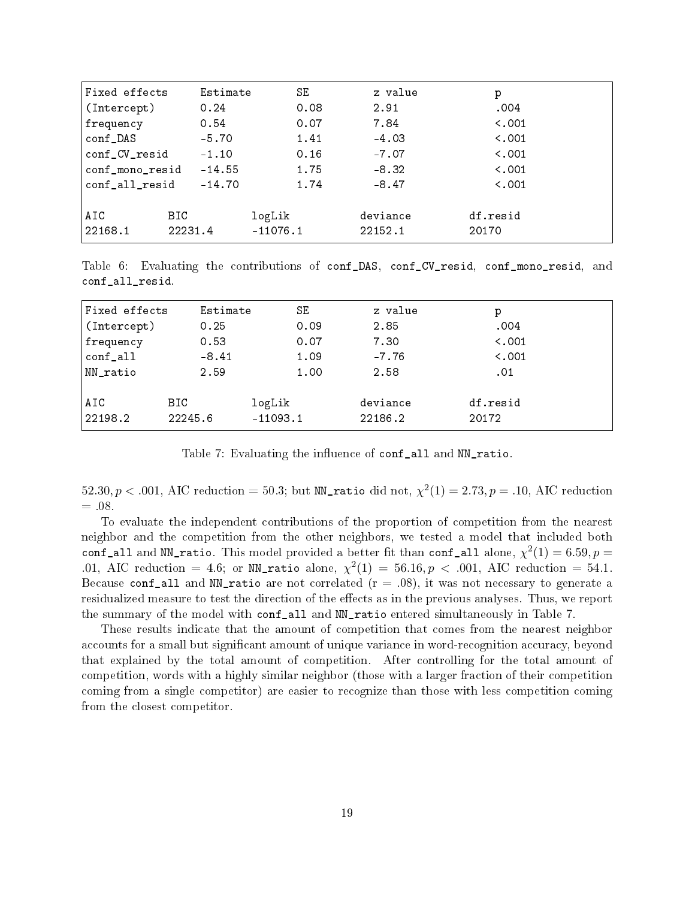| Fixed effects   | Estimate | SE.        | z value  | p        |  |
|-----------------|----------|------------|----------|----------|--|
| (Intercept)     | 0.24     | 0.08       | 2.91     | .004     |  |
| frequency       | 0.54     | 0.07       | 7.84     | < 0.001  |  |
| conf_DAS        | $-5.70$  | 1.41       | $-4.03$  | < 0.001  |  |
| conf_CV_resid   | $-1.10$  | 0.16       | $-7.07$  | < 0.001  |  |
| conf_mono_resid | $-14.55$ | 1.75       | $-8.32$  | < 0.001  |  |
| conf_all_resid  | $-14.70$ | 1.74       | $-8.47$  | < 0.001  |  |
|                 |          |            |          |          |  |
| AIC.            | BIC.     | logLik     | deviance | df.resid |  |
| 22168.1         | 22231.4  | $-11076.1$ | 22152.1  | 20170    |  |

Table 6: Evaluating the contributions of conf\_DAS, conf\_CV\_resid, conf\_mono\_resid, and conf\_all\_resid.

| Fixed effects | Estimate | SE         | z value  | p        |  |
|---------------|----------|------------|----------|----------|--|
| (Intercept)   | 0.25     | 0.09       | 2.85     | .004     |  |
| frequency     | 0.53     | 0.07       | 7.30     | < 0.001  |  |
| conf_all      | $-8.41$  | 1.09       | $-7.76$  | < 0.001  |  |
| NN_ratio      | 2.59     | 1.00       | 2.58     | .01      |  |
|               |          |            |          |          |  |
| AIC           | BIC      | logLik     | deviance | df.resid |  |
| 22198.2       | 22245.6  | $-11093.1$ | 22186.2  | 20172    |  |

Table 7: Evaluating the influence of conf\_all and NN\_ratio.

 $52.30, p < .001$ , AIC reduction =  $50.3$ ; but NN\_ratio did not,  $\chi^2(1) = 2.73, p = .10,$  AIC reduction  $= .08$ .

To evaluate the independent contributions of the proportion of competition from the nearest neighbor and the competition from the other neighbors, we tested a model that included both conf\_all and NN\_ratio. This model provided a better fit than conf\_all alone,  $\chi^2(1)=6.59, p=$ .01, AIC reduction = 4.6; or NN\_ratio alone,  $\chi^2(1) = 56.16, p < .001$ , AIC reduction = 54.1. Because conf\_all and NN\_ratio are not correlated  $(r = .08)$ , it was not necessary to generate a residualized measure to test the direction of the effects as in the previous analyses. Thus, we report the summary of the model with conf\_all and NN\_ratio entered simultaneously in Table 7.

These results indicate that the amount of competition that comes from the nearest neighbor accounts for a small but significant amount of unique variance in word-recognition accuracy, beyond that explained by the total amount of competition. After controlling for the total amount of competition, words with a highly similar neighbor (those with a larger fraction of their competition coming from a single competitor) are easier to recognize than those with less competition coming from the closest competitor.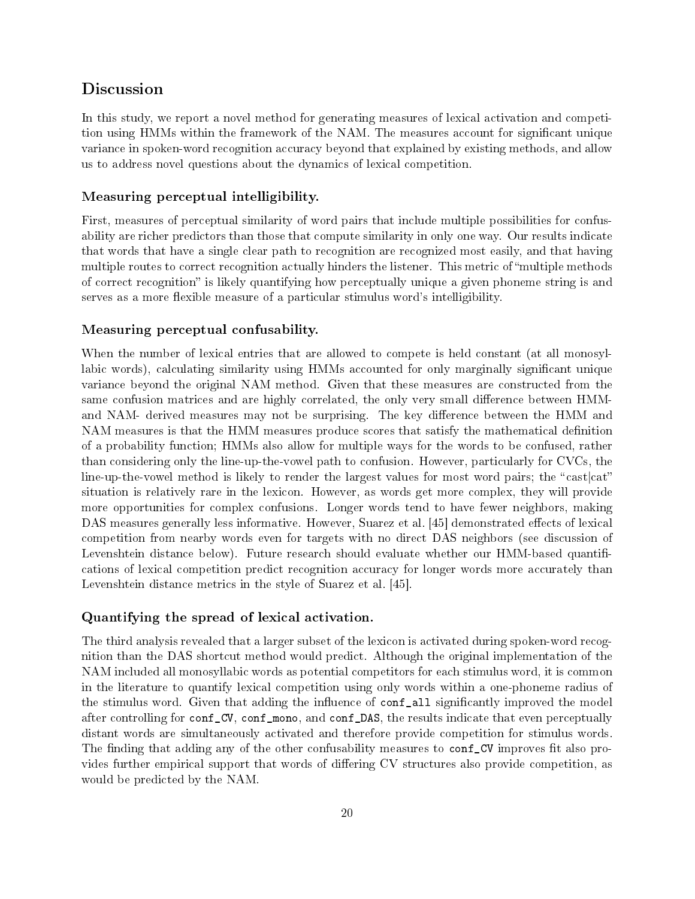# Discussion

In this study, we report a novel method for generating measures of lexical activation and competition using HMMs within the framework of the NAM. The measures account for significant unique variance in spoken-word recognition accuracy beyond that explained by existing methods, and allow us to address novel questions about the dynamics of lexical competition.

# Measuring perceptual intelligibility.

First, measures of perceptual similarity of word pairs that include multiple possibilities for confusability are richer predictors than those that compute similarity in only one way. Our results indicate that words that have a single clear path to recognition are recognized most easily, and that having multiple routes to correct recognition actually hinders the listener. This metric of "multiple methods" of correct recognition" is likely quantifying how perceptually unique a given phoneme string is and serves as a more flexible measure of a particular stimulus word's intelligibility.

## Measuring perceptual confusability.

When the number of lexical entries that are allowed to compete is held constant (at all monosyllabic words), calculating similarity using HMMs accounted for only marginally significant unique variance beyond the original NAM method. Given that these measures are constructed from the same confusion matrices and are highly correlated, the only very small difference between HMMand NAM- derived measures may not be surprising. The key difference between the HMM and NAM measures is that the HMM measures produce scores that satisfy the mathematical definition of a probability function; HMMs also allow for multiple ways for the words to be confused, rather than considering only the line-up-the-vowel path to confusion. However, particularly for CVCs, the  $\lim_{\varepsilon \to 0}$  line-up-the-vowel method is likely to render the largest values for most word pairs; the "cast $|cat$ " situation is relatively rare in the lexicon. However, as words get more complex, they will provide more opportunities for complex confusions. Longer words tend to have fewer neighbors, making DAS measures generally less informative. However, Suarez et al. [45] demonstrated effects of lexical competition from nearby words even for targets with no direct DAS neighbors (see discussion of Levenshtein distance below). Future research should evaluate whether our HMM-based quantifications of lexical competition predict recognition accuracy for longer words more accurately than Levenshtein distance metrics in the style of Suarez et al. [45].

## Quantifying the spread of lexical activation.

The third analysis revealed that a larger subset of the lexicon is activated during spoken-word recognition than the DAS shortcut method would predict. Although the original implementation of the NAM included all monosyllabic words as potential competitors for each stimulus word, it is common in the literature to quantify lexical competition using only words within a one-phoneme radius of the stimulus word. Given that adding the influence of conf\_all significantly improved the model after controlling for conf\_CV, conf\_mono, and conf\_DAS, the results indicate that even perceptually distant words are simultaneously activated and therefore provide competition for stimulus words. The finding that adding any of the other confusability measures to conf\_CV improves fit also provides further empirical support that words of differing CV structures also provide competition, as would be predicted by the NAM.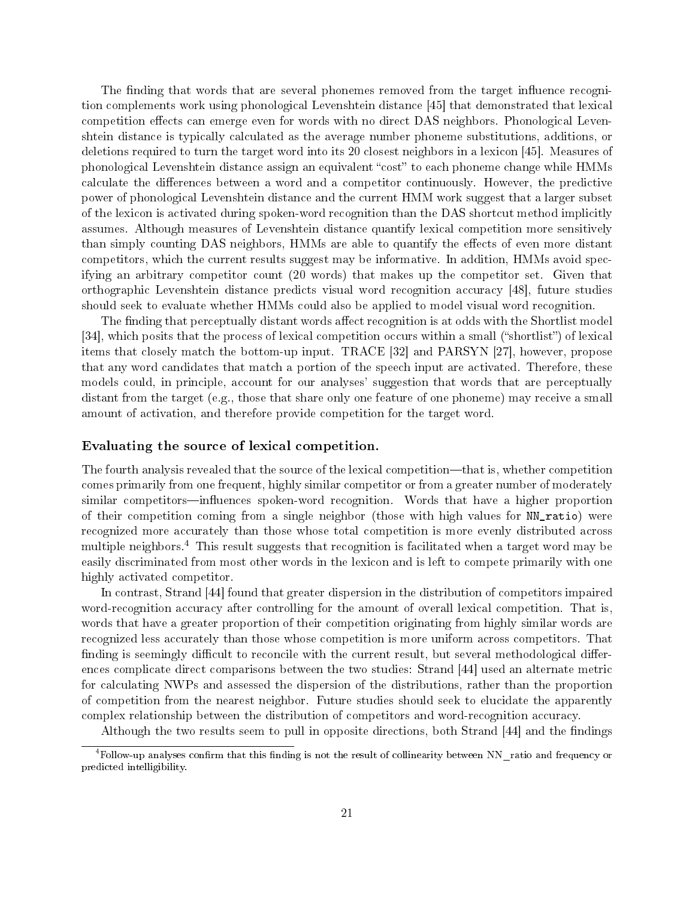The finding that words that are several phonemes removed from the target influence recognition complements work using phonological Levenshtein distance [45] that demonstrated that lexical competition effects can emerge even for words with no direct DAS neighbors. Phonological Levenshtein distance is typically calculated as the average number phoneme substitutions, additions, or deletions required to turn the target word into its 20 closest neighbors in a lexicon [45]. Measures of phonological Levenshtein distance assign an equivalent "cost" to each phoneme change while HMMs calculate the differences between a word and a competitor continuously. However, the predictive power of phonological Levenshtein distance and the current HMM work suggest that a larger subset of the lexicon is activated during spoken-word recognition than the DAS shortcut method implicitly assumes. Although measures of Levenshtein distance quantify lexical competition more sensitively than simply counting DAS neighbors, HMMs are able to quantify the effects of even more distant competitors, which the current results suggest may be informative. In addition, HMMs avoid specifying an arbitrary competitor count (20 words) that makes up the competitor set. Given that orthographic Levenshtein distance predicts visual word recognition accuracy [48], future studies should seek to evaluate whether HMMs could also be applied to model visual word recognition.

The finding that perceptually distant words affect recognition is at odds with the Shortlist model [34], which posits that the process of lexical competition occurs within a small ("shortlist") of lexical items that closely match the bottom-up input. TRACE [32] and PARSYN [27], however, propose that any word candidates that match a portion of the speech input are activated. Therefore, these models could, in principle, account for our analyses' suggestion that words that are perceptually distant from the target (e.g., those that share only one feature of one phoneme) may receive a small amount of activation, and therefore provide competition for the target word.

## Evaluating the source of lexical competition.

The fourth analysis revealed that the source of the lexical competition—that is, whether competition comes primarily from one frequent, highly similar competitor or from a greater number of moderately similar competitors—influences spoken-word recognition. Words that have a higher proportion of their competition coming from a single neighbor (those with high values for NN\_ratio) were recognized more accurately than those whose total competition is more evenly distributed across multiple neighbors.<sup>4</sup> This result suggests that recognition is facilitated when a target word may be easily discriminated from most other words in the lexicon and is left to compete primarily with one highly activated competitor.

In contrast, Strand [44] found that greater dispersion in the distribution of competitors impaired word-recognition accuracy after controlling for the amount of overall lexical competition. That is, words that have a greater proportion of their competition originating from highly similar words are recognized less accurately than those whose competition is more uniform across competitors. That finding is seemingly difficult to reconcile with the current result, but several methodological differences complicate direct comparisons between the two studies: Strand [44] used an alternate metric for calculating NWPs and assessed the dispersion of the distributions, rather than the proportion of competition from the nearest neighbor. Future studies should seek to elucidate the apparently complex relationship between the distribution of competitors and word-recognition accuracy.

Although the two results seem to pull in opposite directions, both Strand  $[44]$  and the findings

 $4$ Follow-up analyses confirm that this finding is not the result of collinearity between NN ratio and frequency or predicted intelligibility.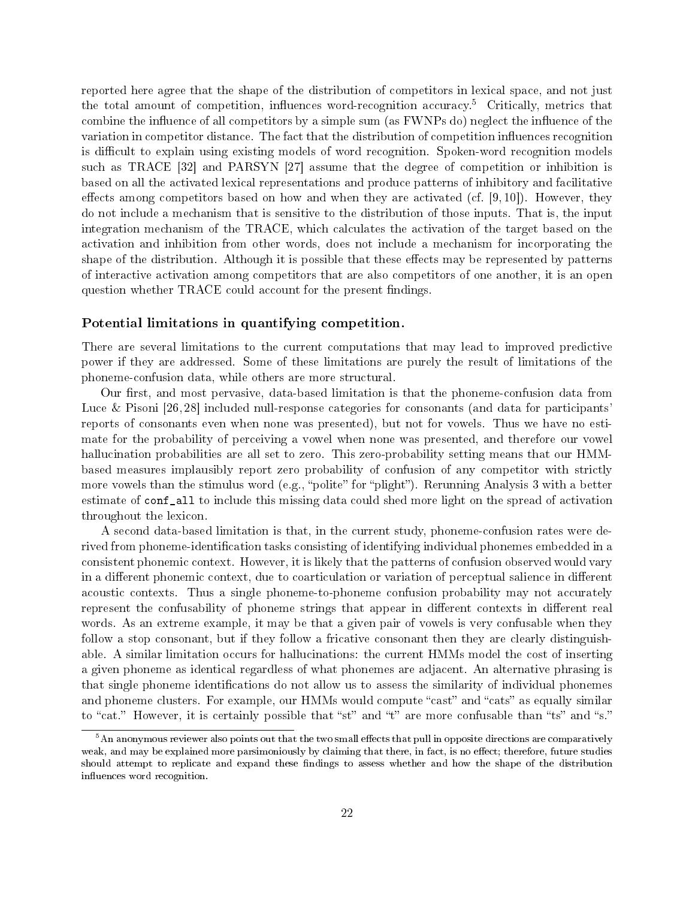reported here agree that the shape of the distribution of competitors in lexical space, and not just the total amount of competition, influences word-recognition accuracy.<sup>5</sup> Critically, metrics that combine the influence of all competitors by a simple sum (as FWNPs do) neglect the influence of the variation in competitor distance. The fact that the distribution of competition influences recognition is difficult to explain using existing models of word recognition. Spoken-word recognition models such as TRACE [32] and PARSYN [27] assume that the degree of competition or inhibition is based on all the activated lexical representations and produce patterns of inhibitory and facilitative effects among competitors based on how and when they are activated (cf.  $[9, 10]$ ). However, they do not include a mechanism that is sensitive to the distribution of those inputs. That is, the input integration mechanism of the TRACE, which calculates the activation of the target based on the activation and inhibition from other words, does not include a mechanism for incorporating the shape of the distribution. Although it is possible that these effects may be represented by patterns of interactive activation among competitors that are also competitors of one another, it is an open question whether TRACE could account for the present findings.

#### Potential limitations in quantifying competition.

There are several limitations to the current computations that may lead to improved predictive power if they are addressed. Some of these limitations are purely the result of limitations of the phoneme-confusion data, while others are more structural.

Our first, and most pervasive, data-based limitation is that the phoneme-confusion data from Luce & Pisoni [26, 28] included null-response categories for consonants (and data for participants' reports of consonants even when none was presented), but not for vowels. Thus we have no estimate for the probability of perceiving a vowel when none was presented, and therefore our vowel hallucination probabilities are all set to zero. This zero-probability setting means that our HMMbased measures implausibly report zero probability of confusion of any competitor with strictly more vowels than the stimulus word (e.g., "polite" for "plight"). Rerunning Analysis 3 with a better estimate of conf\_all to include this missing data could shed more light on the spread of activation throughout the lexicon.

A second data-based limitation is that, in the current study, phoneme-confusion rates were derived from phoneme-identification tasks consisting of identifying individual phonemes embedded in a consistent phonemic context. However, it is likely that the patterns of confusion observed would vary in a different phonemic context, due to coarticulation or variation of perceptual salience in different acoustic contexts. Thus a single phoneme-to-phoneme confusion probability may not accurately represent the confusability of phoneme strings that appear in different contexts in different real words. As an extreme example, it may be that a given pair of vowels is very confusable when they follow a stop consonant, but if they follow a fricative consonant then they are clearly distinguishable. A similar limitation occurs for hallucinations: the current HMMs model the cost of inserting a given phoneme as identical regardless of what phonemes are adjacent. An alternative phrasing is that single phoneme identifications do not allow us to assess the similarity of individual phonemes and phoneme clusters. For example, our HMMs would compute "cast" and "cats" as equally similar to "cat." However, it is certainly possible that "st" and "t" are more confusable than "ts" and "s."

 $^5$ An anonymous reviewer also points out that the two small effects that pull in opposite directions are comparatively weak, and may be explained more parsimoniously by claiming that there, in fact, is no effect; therefore, future studies should attempt to replicate and expand these findings to assess whether and how the shape of the distribution influences word recognition.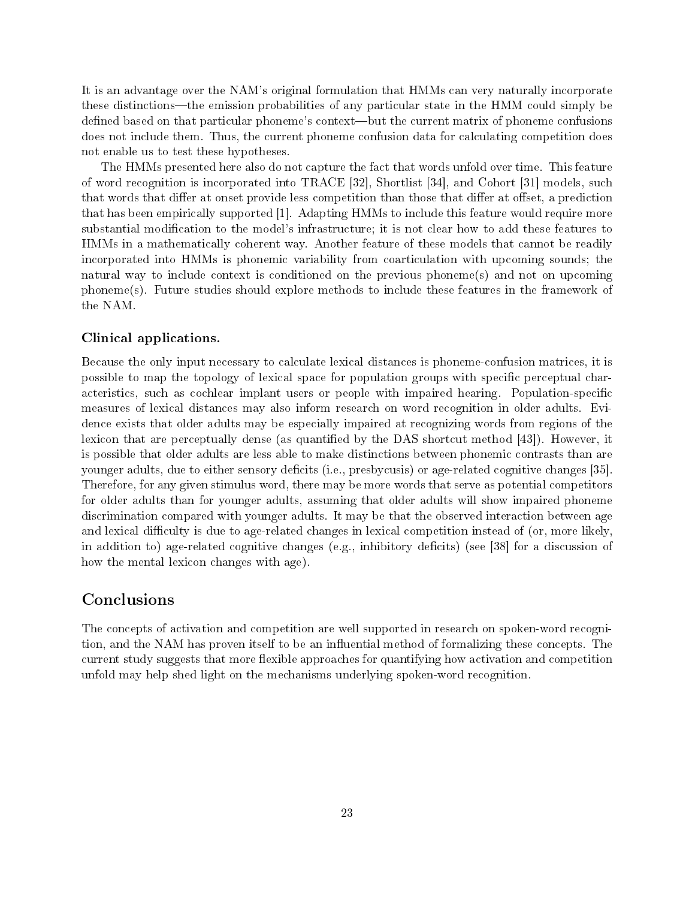It is an advantage over the NAM's original formulation that HMMs can very naturally incorporate these distinctions—the emission probabilities of any particular state in the HMM could simply be defined based on that particular phoneme's context—but the current matrix of phoneme confusions does not include them. Thus, the current phoneme confusion data for calculating competition does not enable us to test these hypotheses.

The HMMs presented here also do not capture the fact that words unfold over time. This feature of word recognition is incorporated into TRACE [32], Shortlist [34], and Cohort [31] models, such that words that differ at onset provide less competition than those that differ at offset, a prediction that has been empirically supported [1]. Adapting HMMs to include this feature would require more substantial modification to the model's infrastructure; it is not clear how to add these features to HMMs in a mathematically coherent way. Another feature of these models that cannot be readily incorporated into HMMs is phonemic variability from coarticulation with upcoming sounds; the natural way to include context is conditioned on the previous phoneme(s) and not on upcoming phoneme(s). Future studies should explore methods to include these features in the framework of the NAM.

## Clinical applications.

Because the only input necessary to calculate lexical distances is phoneme-confusion matrices, it is possible to map the topology of lexical space for population groups with specific perceptual characteristics, such as cochlear implant users or people with impaired hearing. Population-specific measures of lexical distances may also inform research on word recognition in older adults. Evidence exists that older adults may be especially impaired at recognizing words from regions of the lexicon that are perceptually dense (as quantified by the DAS shortcut method [43]). However, it is possible that older adults are less able to make distinctions between phonemic contrasts than are younger adults, due to either sensory deficits (i.e., presbycusis) or age-related cognitive changes [35]. Therefore, for any given stimulus word, there may be more words that serve as potential competitors for older adults than for younger adults, assuming that older adults will show impaired phoneme discrimination compared with younger adults. It may be that the observed interaction between age and lexical difficulty is due to age-related changes in lexical competition instead of (or, more likely, in addition to) age-related cognitive changes (e.g., inhibitory deficits) (see [38] for a discussion of how the mental lexicon changes with age).

# Conclusions

The concepts of activation and competition are well supported in research on spoken-word recognition, and the NAM has proven itself to be an influential method of formalizing these concepts. The current study suggests that more flexible approaches for quantifying how activation and competition unfold may help shed light on the mechanisms underlying spoken-word recognition.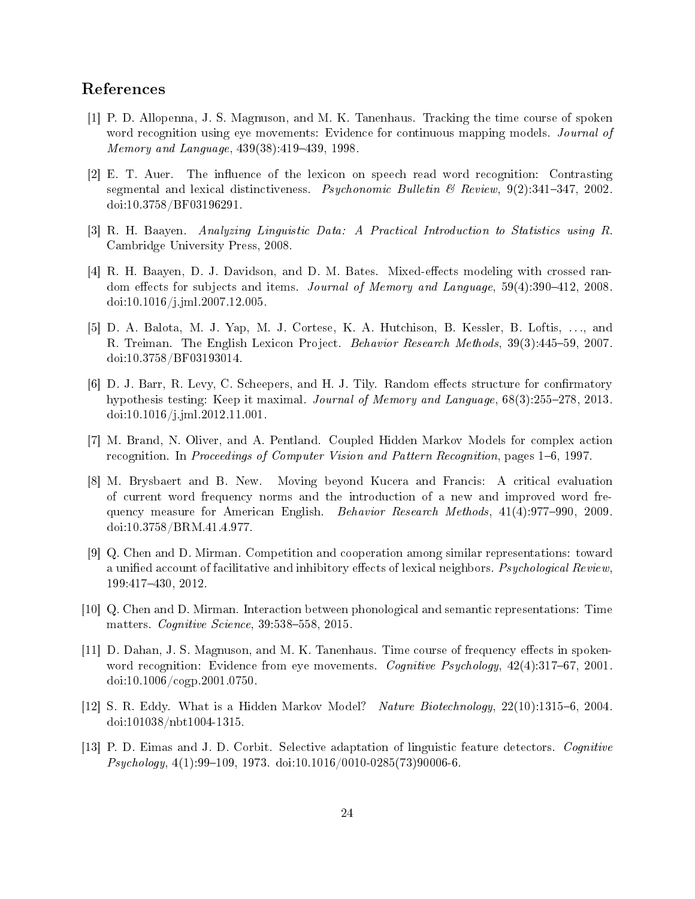# References

- [1] P. D. Allopenna, J. S. Magnuson, and M. K. Tanenhaus. Tracking the time course of spoken word recognition using eye movements: Evidence for continuous mapping models. *Journal of* Memory and Language,  $439(38):419-439$ , 1998.
- [2] E. T. Auer. The influence of the lexicon on speech read word recognition: Contrasting segmental and lexical distinctiveness. Psychonomic Bulletin  $\mathscr B$  Review, 9(2):341-347, 2002. doi:10.3758/BF03196291.
- [3] R. H. Baayen. Analyzing Linguistic Data: A Practical Introduction to Statistics using R. Cambridge University Press, 2008.
- [4] R. H. Baayen, D. J. Davidson, and D. M. Bates. Mixed-effects modeling with crossed random effects for subjects and items. Journal of Memory and Language, 59(4):390-412, 2008. doi:10.1016/j.jml.2007.12.005.
- [5] D. A. Balota, M. J. Yap, M. J. Cortese, K. A. Hutchison, B. Kessler, B. Loftis, . . ., and R. Treiman. The English Lexicon Project. Behavior Research Methods, 39(3):445–59, 2007. doi:10.3758/BF03193014.
- [6] D. J. Barr, R. Levy, C. Scheepers, and H. J. Tily. Random effects structure for confirmatory hypothesis testing: Keep it maximal. Journal of Memory and Language,  $68(3):255-278, 2013$ . doi:10.1016/j.jml.2012.11.001.
- [7] M. Brand, N. Oliver, and A. Pentland. Coupled Hidden Markov Models for complex action recognition. In Proceedings of Computer Vision and Pattern Recognition, pages 1–6, 1997.
- [8] M. Brysbaert and B. New. Moving beyond Kucera and Francis: A critical evaluation of current word frequency norms and the introduction of a new and improved word frequency measure for American English. *Behavior Research Methods*, 41(4):977–990, 2009. doi:10.3758/BRM.41.4.977.
- [9] Q. Chen and D. Mirman. Competition and cooperation among similar representations: toward a unified account of facilitative and inhibitory effects of lexical neighbors. *Psychological Review*, 199:417430, 2012.
- [10] Q. Chen and D. Mirman. Interaction between phonological and semantic representations: Time matters. Cognitive Science,  $39:538-558$ ,  $2015$ .
- [11] D. Dahan, J. S. Magnuson, and M. K. Tanenhaus. Time course of frequency effects in spokenword recognition: Evidence from eye movements. Cognitive Psychology,  $42(4):317-67$ ,  $2001$ . doi:10.1006/cogp.2001.0750.
- [12] S. R. Eddy. What is a Hidden Markov Model? Nature Biotechnology, 22(10):13156, 2004. doi:101038/nbt1004-1315.
- [13] P. D. Eimas and J. D. Corbit. Selective adaptation of linguistic feature detectors. Cognitive  $Psychology, 4(1):99-109, 1973. \text{ doi: } 10.1016/0010-0285(73)90006-6.$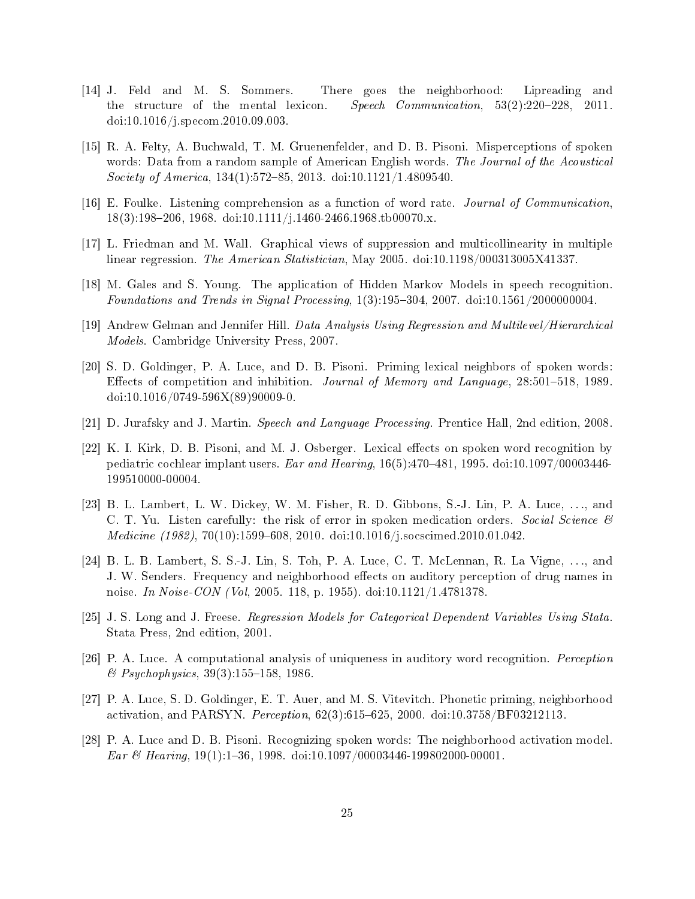- [14] J. Feld and M. S. Sommers. There goes the neighborhood: Lipreading and the structure of the mental lexicon. Speech Communication,  $53(2):220-228$ ,  $2011$ . doi:10.1016/j.specom.2010.09.003.
- [15] R. A. Felty, A. Buchwald, T. M. Gruenenfelder, and D. B. Pisoni. Misperceptions of spoken words: Data from a random sample of American English words. The Journal of the Acoustical Society of America,  $134(1)$ : 572-85, 2013. doi:10.1121/1.4809540.
- [16] E. Foulke. Listening comprehension as a function of word rate. Journal of Communication,  $18(3):198-206$ , 1968. doi:10.1111/j.1460-2466.1968.tb00070.x.
- [17] L. Friedman and M. Wall. Graphical views of suppression and multicollinearity in multiple linear regression. The American Statistician, May 2005. doi:10.1198/000313005X41337.
- [18] M. Gales and S. Young. The application of Hidden Markov Models in speech recognition. Foundations and Trends in Signal Processing,  $1(3):195-304$ ,  $2007$ . doi:10.1561/200000004.
- [19] Andrew Gelman and Jennifer Hill. Data Analysis Using Regression and Multilevel/Hierarchical Models. Cambridge University Press, 2007.
- [20] S. D. Goldinger, P. A. Luce, and D. B. Pisoni. Priming lexical neighbors of spoken words: Effects of competition and inhibition. *Journal of Memory and Language*,  $28:501-518$ , 1989. doi:10.1016/0749-596X(89)90009-0.
- [21] D. Jurafsky and J. Martin. Speech and Language Processing. Prentice Hall, 2nd edition, 2008.
- [22] K. I. Kirk, D. B. Pisoni, and M. J. Osberger. Lexical effects on spoken word recognition by pediatric cochlear implant users. Ear and Hearing,  $16(5):470-481$ , 1995. doi:10.1097/00003446-199510000-00004.
- [23] B. L. Lambert, L. W. Dickey, W. M. Fisher, R. D. Gibbons, S.-J. Lin, P. A. Luce, . . ., and C. T. Yu. Listen carefully: the risk of error in spoken medication orders. Social Science  $\mathscr B$ *Medicine* (1982), 70(10):1599–608, 2010. doi:10.1016/j.socscimed.2010.01.042.
- [24] B. L. B. Lambert, S. S.-J. Lin, S. Toh, P. A. Luce, C. T. McLennan, R. La Vigne, . . ., and J. W. Senders. Frequency and neighborhood effects on auditory perception of drug names in noise. In Noise-CON (Vol, 2005. 118, p. 1955). doi:10.1121/1.4781378.
- [25] J. S. Long and J. Freese. Regression Models for Categorical Dependent Variables Using Stata. Stata Press, 2nd edition, 2001.
- [26] P. A. Luce. A computational analysis of uniqueness in auditory word recognition. Perception  $\&$  Psychophysics, 39(3):155-158, 1986.
- [27] P. A. Luce, S. D. Goldinger, E. T. Auer, and M. S. Vitevitch. Phonetic priming, neighborhood activation, and PARSYN. *Perception*, 62(3):615–625, 2000. doi:10.3758/BF03212113.
- [28] P. A. Luce and D. B. Pisoni. Recognizing spoken words: The neighborhood activation model. Ear & Hearing,  $19(1):1-36$ , 1998. doi:10.1097/00003446-199802000-00001.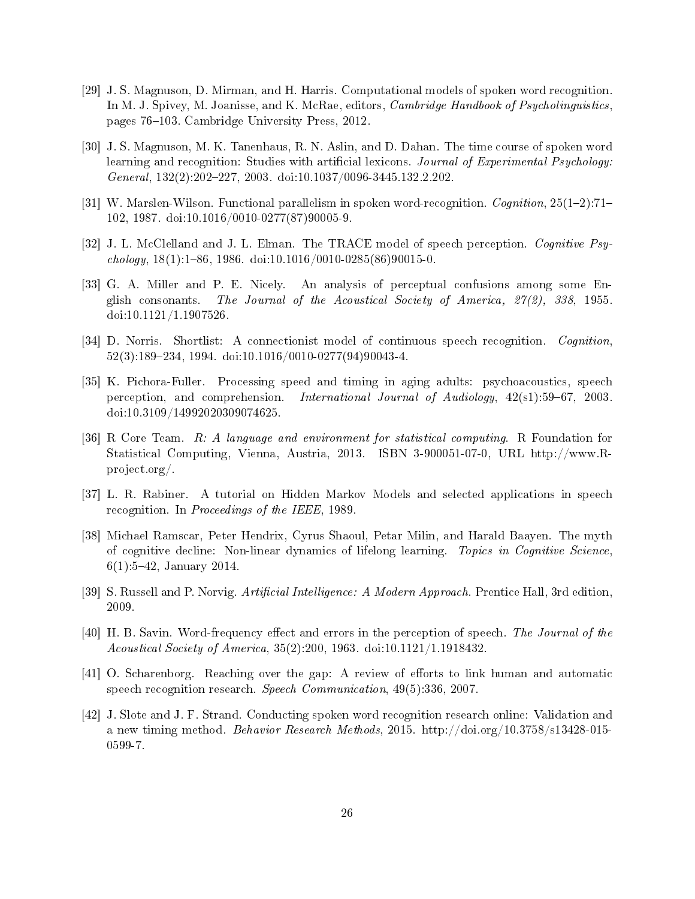- [29] J. S. Magnuson, D. Mirman, and H. Harris. Computational models of spoken word recognition. In M. J. Spivey, M. Joanisse, and K. McRae, editors, *Cambridge Handbook of Psycholinguistics*. pages 76–103. Cambridge University Press, 2012.
- [30] J. S. Magnuson, M. K. Tanenhaus, R. N. Aslin, and D. Dahan. The time course of spoken word learning and recognition: Studies with artificial lexicons. Journal of Experimental Psychology: General,  $132(2):202-227$ ,  $2003.$  doi:10.1037/0096-3445.132.2.202.
- [31] W. Marslen-Wilson. Functional parallelism in spoken word-recognition. *Cognition*,  $25(1-2)$ : 71-102, 1987. doi:10.1016/0010-0277(87)90005-9.
- [32] J. L. McClelland and J. L. Elman. The TRACE model of speech perception. Cognitive Psy $chology, 18(1):1–86, 1986. \text{ doi: }10.1016/0010-0285(86)90015-0.$
- [33] G. A. Miller and P. E. Nicely. An analysis of perceptual confusions among some English consonants. The Journal of the Acoustical Society of America, 27(2), 338, 1955. doi:10.1121/1.1907526.
- [34] D. Norris. Shortlist: A connectionist model of continuous speech recognition. Cognition,  $52(3):189-234, 1994.$  doi:10.1016/0010-0277(94)90043-4.
- [35] K. Pichora-Fuller. Processing speed and timing in aging adults: psychoacoustics, speech perception, and comprehension. International Journal of Audiology, 42(s1):5967, 2003. doi:10.3109/14992020309074625.
- [36] R Core Team. R: A language and environment for statistical computing. R Foundation for Statistical Computing, Vienna, Austria, 2013. ISBN 3-900051-07-0, URL http://www.Rproject.org/.
- [37] L. R. Rabiner. A tutorial on Hidden Markov Models and selected applications in speech recognition. In Proceedings of the IEEE, 1989.
- [38] Michael Ramscar, Peter Hendrix, Cyrus Shaoul, Petar Milin, and Harald Baayen. The myth of cognitive decline: Non-linear dynamics of lifelong learning. Topics in Cognitive Science,  $6(1):5-42$ , January 2014.
- [39] S. Russell and P. Norvig. Artificial Intelligence: A Modern Approach. Prentice Hall, 3rd edition, 2009.
- [40] H. B. Savin. Word-frequency effect and errors in the perception of speech. The Journal of the Acoustical Society of America, 35(2):200, 1963. doi:10.1121/1.1918432.
- [41] O. Scharenborg. Reaching over the gap: A review of efforts to link human and automatic speech recognition research. Speech Communication, 49(5):336, 2007.
- [42] J. Slote and J. F. Strand. Conducting spoken word recognition research online: Validation and a new timing method. Behavior Research Methods, 2015. http://doi.org/10.3758/s13428-015- 0599-7.